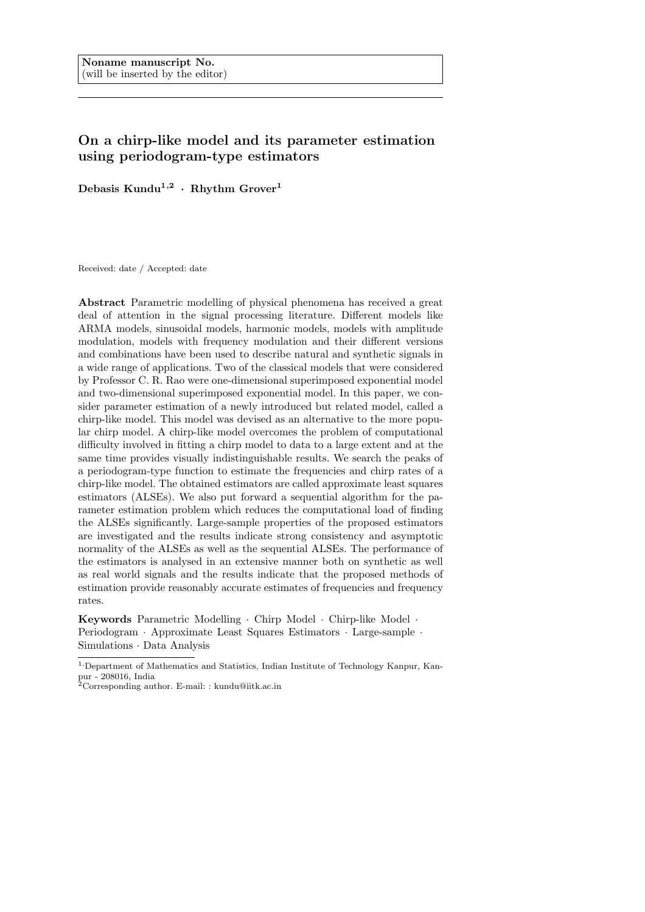# On a chirp-like model and its parameter estimation using periodogram-type estimators

Debasis  $\mathrm{Kundu}^{1,2}$  · Rhythm Grover<sup>1</sup>

Received: date / Accepted: date

Abstract Parametric modelling of physical phenomena has received a great deal of attention in the signal processing literature. Different models like ARMA models, sinusoidal models, harmonic models, models with amplitude modulation, models with frequency modulation and their different versions and combinations have been used to describe natural and synthetic signals in a wide range of applications. Two of the classical models that were considered by Professor C. R. Rao were one-dimensional superimposed exponential model and two-dimensional superimposed exponential model. In this paper, we consider parameter estimation of a newly introduced but related model, called a chirp-like model. This model was devised as an alternative to the more popular chirp model. A chirp-like model overcomes the problem of computational difficulty involved in fitting a chirp model to data to a large extent and at the same time provides visually indistinguishable results. We search the peaks of a periodogram-type function to estimate the frequencies and chirp rates of a chirp-like model. The obtained estimators are called approximate least squares estimators (ALSEs). We also put forward a sequential algorithm for the parameter estimation problem which reduces the computational load of finding the ALSEs significantly. Large-sample properties of the proposed estimators are investigated and the results indicate strong consistency and asymptotic normality of the ALSEs as well as the sequential ALSEs. The performance of the estimators is analysed in an extensive manner both on synthetic as well as real world signals and the results indicate that the proposed methods of estimation provide reasonably accurate estimates of frequencies and frequency rates.

Keywords Parametric Modelling · Chirp Model · Chirp-like Model · Periodogram · Approximate Least Squares Estimators · Large-sample · Simulations · Data Analysis

<sup>1,</sup>Department of Mathematics and Statistics, Indian Institute of Technology Kanpur, Kanpur - 208016, India

<sup>2</sup>Corresponding author. E-mail: : kundu@iitk.ac.in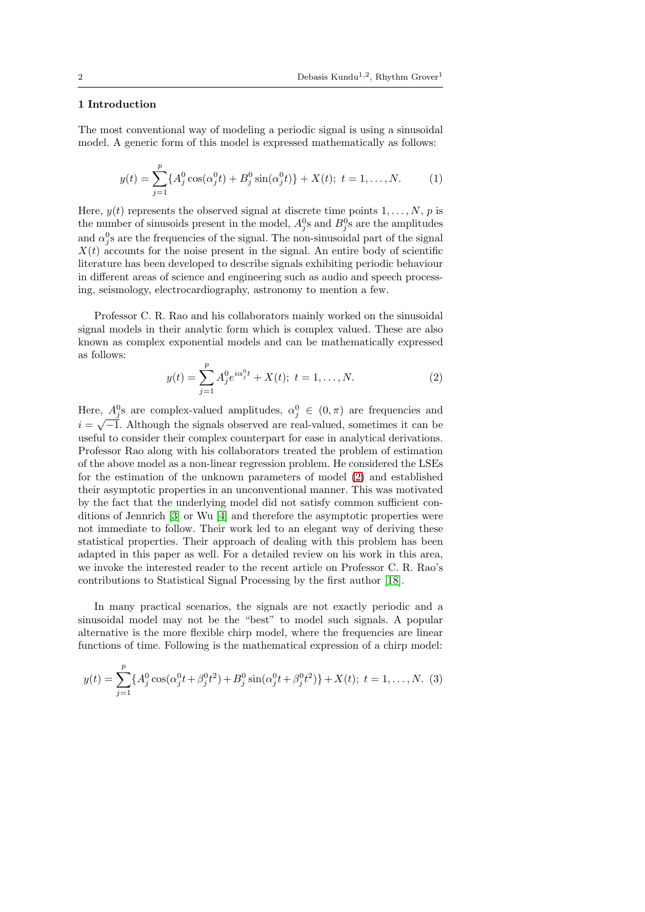### 1 Introduction

The most conventional way of modeling a periodic signal is using a sinusoidal model. A generic form of this model is expressed mathematically as follows:

$$
y(t) = \sum_{j=1}^{p} \{A_j^0 \cos(\alpha_j^0 t) + B_j^0 \sin(\alpha_j^0 t)\} + X(t); \ t = 1, ..., N.
$$
 (1)

Here,  $y(t)$  represents the observed signal at discrete time points  $1, \ldots, N$ , p is the number of sinusoids present in the model,  $A_j^0$ s and  $B_j^0$ s are the amplitudes and  $\alpha_j^0$ s are the frequencies of the signal. The non-sinusoidal part of the signal  $X(t)$  accounts for the noise present in the signal. An entire body of scientific literature has been developed to describe signals exhibiting periodic behaviour in different areas of science and engineering such as audio and speech processing, seismology, electrocardiography, astronomy to mention a few.

Professor C. R. Rao and his collaborators mainly worked on the sinusoidal signal models in their analytic form which is complex valued. These are also known as complex exponential models and can be mathematically expressed as follows:

<span id="page-1-0"></span>
$$
y(t) = \sum_{j=1}^{p} A_j^0 e^{i\alpha_j^0 t} + X(t); \ t = 1, \dots, N.
$$
 (2)

Here,  $A_j^0$ s are complex-valued amplitudes,  $\alpha_j^0 \in (0, \pi)$  are frequencies and  $i = \sqrt{-1}$ . Although the signals observed are real-valued, sometimes it can be useful to consider their complex counterpart for ease in analytical derivations. Professor Rao along with his collaborators treated the problem of estimation of the above model as a non-linear regression problem. He considered the LSEs for the estimation of the unknown parameters of model [\(2\)](#page-1-0) and established their asymptotic properties in an unconventional manner. This was motivated by the fact that the underlying model did not satisfy common sufficient conditions of Jennrich [\[3\]](#page-22-0) or Wu [\[4\]](#page-22-1) and therefore the asymptotic properties were not immediate to follow. Their work led to an elegant way of deriving these statistical properties. Their approach of dealing with this problem has been adapted in this paper as well. For a detailed review on his work in this area, we invoke the interested reader to the recent article on Professor C. R. Rao's contributions to Statistical Signal Processing by the first author [\[18\]](#page-23-0).

In many practical scenarios, the signals are not exactly periodic and a sinusoidal model may not be the "best" to model such signals. A popular alternative is the more flexible chirp model, where the frequencies are linear functions of time. Following is the mathematical expression of a chirp model:

$$
y(t) = \sum_{j=1}^{p} \{A_j^0 \cos(\alpha_j^0 t + \beta_j^0 t^2) + B_j^0 \sin(\alpha_j^0 t + \beta_j^0 t^2)\} + X(t); \ t = 1, ..., N.
$$
 (3)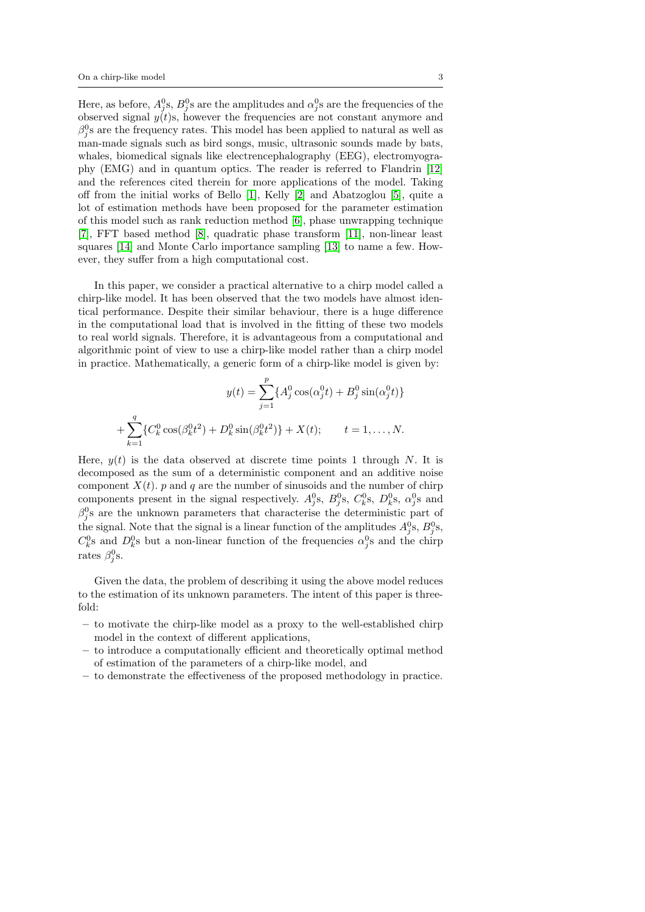Here, as before,  $A_j^0$ s,  $B_j^0$ s are the amplitudes and  $\alpha_j^0$ s are the frequencies of the observed signal  $y(t)$ s, however the frequencies are not constant anymore and  $\beta_j^0$ s are the frequency rates. This model has been applied to natural as well as man-made signals such as bird songs, music, ultrasonic sounds made by bats, whales, biomedical signals like electrencephalography (EEG), electromyography (EMG) and in quantum optics. The reader is referred to Flandrin [\[12\]](#page-23-1) and the references cited therein for more applications of the model. Taking off from the initial works of Bello [\[1\]](#page-22-2), Kelly [\[2\]](#page-22-3) and Abatzoglou [\[5\]](#page-22-4), quite a lot of estimation methods have been proposed for the parameter estimation of this model such as rank reduction method [\[6\]](#page-22-5), phase unwrapping technique [\[7\]](#page-22-6), FFT based method [\[8\]](#page-22-7), quadratic phase transform [\[11\]](#page-23-2), non-linear least squares [\[14\]](#page-23-3) and Monte Carlo importance sampling [\[13\]](#page-23-4) to name a few. However, they suffer from a high computational cost.

In this paper, we consider a practical alternative to a chirp model called a chirp-like model. It has been observed that the two models have almost identical performance. Despite their similar behaviour, there is a huge difference in the computational load that is involved in the fitting of these two models to real world signals. Therefore, it is advantageous from a computational and algorithmic point of view to use a chirp-like model rather than a chirp model in practice. Mathematically, a generic form of a chirp-like model is given by:

$$
y(t) = \sum_{j=1}^{p} \{A_j^0 \cos(\alpha_j^0 t) + B_j^0 \sin(\alpha_j^0 t)\}
$$

$$
+ \sum_{k=1}^{q} \{C_k^0 \cos(\beta_k^0 t^2) + D_k^0 \sin(\beta_k^0 t^2)\} + X(t); \qquad t = 1, ..., N.
$$

Here,  $y(t)$  is the data observed at discrete time points 1 through N. It is decomposed as the sum of a deterministic component and an additive noise component  $X(t)$ . p and q are the number of sinusoids and the number of chirp components present in the signal respectively.  $A_j^0$ s,  $B_j^0$ s,  $C_k^0$ s,  $D_k^0$ s,  $\alpha_j^0$ s and  $\beta_j^0$ s are the unknown parameters that characterise the deterministic part of the signal. Note that the signal is a linear function of the amplitudes  $A_j^0$ s,  $B_j^0$ s,  $C_k^0$ s and  $D_k^0$ s but a non-linear function of the frequencies  $\alpha_j^0$ s and the chirp rates  $\beta_j^0$ s.

Given the data, the problem of describing it using the above model reduces to the estimation of its unknown parameters. The intent of this paper is threefold:

- to motivate the chirp-like model as a proxy to the well-established chirp model in the context of different applications,
- to introduce a computationally efficient and theoretically optimal method of estimation of the parameters of a chirp-like model, and
- to demonstrate the effectiveness of the proposed methodology in practice.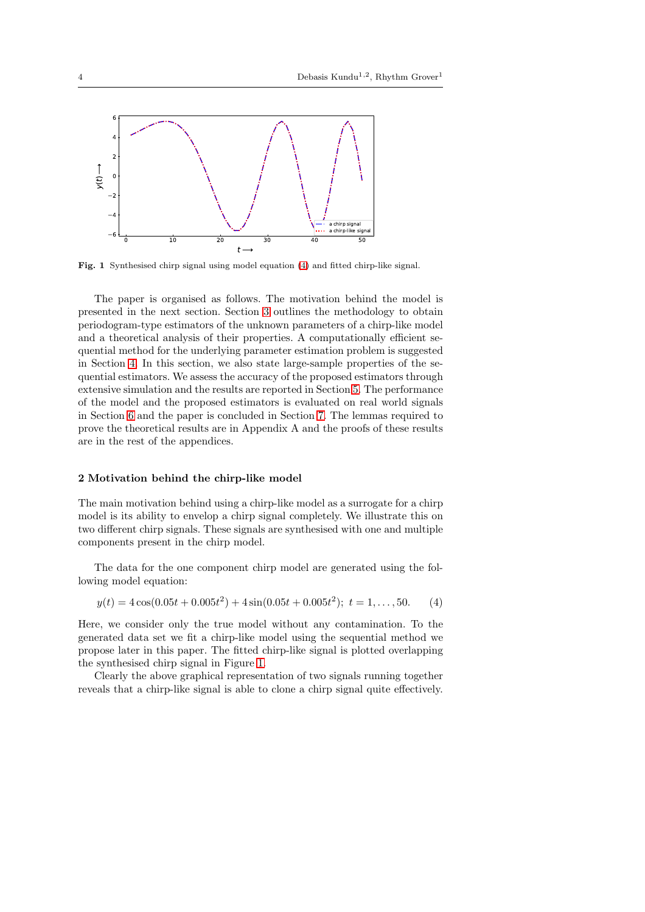

<span id="page-3-1"></span>Fig. 1 Synthesised chirp signal using model equation [\(4\)](#page-3-0) and fitted chirp-like signal.

The paper is organised as follows. The motivation behind the model is presented in the next section. Section [3](#page-4-0) outlines the methodology to obtain periodogram-type estimators of the unknown parameters of a chirp-like model and a theoretical analysis of their properties. A computationally efficient sequential method for the underlying parameter estimation problem is suggested in Section [4.](#page-6-0) In this section, we also state large-sample properties of the sequential estimators. We assess the accuracy of the proposed estimators through extensive simulation and the results are reported in Section [5.](#page-10-0) The performance of the model and the proposed estimators is evaluated on real world signals in Section [6](#page-12-0) and the paper is concluded in Section [7.](#page-15-0) The lemmas required to prove the theoretical results are in Appendix A and the proofs of these results are in the rest of the appendices.

### 2 Motivation behind the chirp-like model

The main motivation behind using a chirp-like model as a surrogate for a chirp model is its ability to envelop a chirp signal completely. We illustrate this on two different chirp signals. These signals are synthesised with one and multiple components present in the chirp model.

The data for the one component chirp model are generated using the following model equation:

<span id="page-3-0"></span>
$$
y(t) = 4\cos(0.05t + 0.005t^2) + 4\sin(0.05t + 0.005t^2); \ t = 1, ..., 50.
$$
 (4)

Here, we consider only the true model without any contamination. To the generated data set we fit a chirp-like model using the sequential method we propose later in this paper. The fitted chirp-like signal is plotted overlapping the synthesised chirp signal in Figure [1.](#page-3-1)

Clearly the above graphical representation of two signals running together reveals that a chirp-like signal is able to clone a chirp signal quite effectively.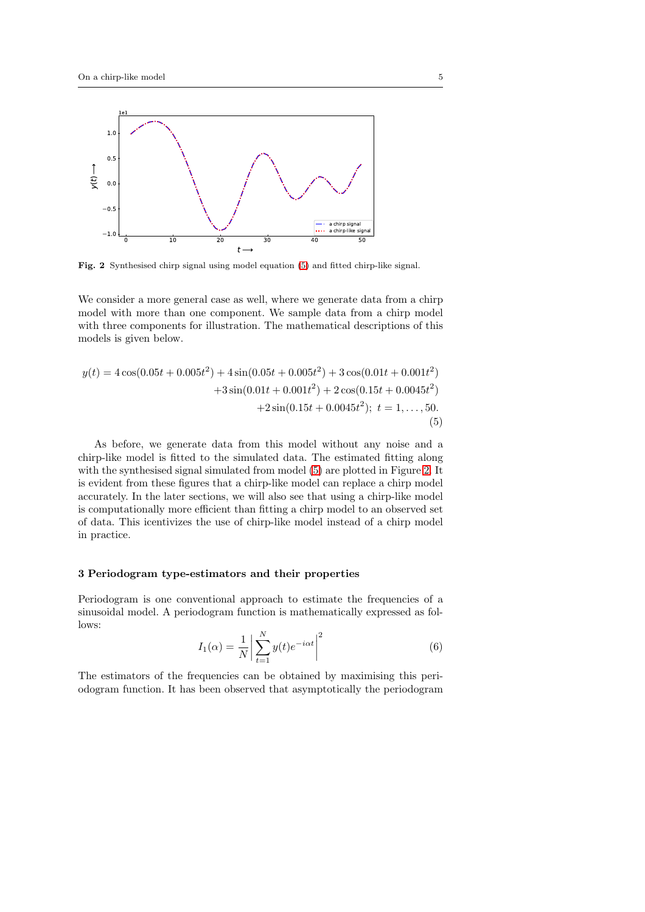

<span id="page-4-2"></span>Fig. 2 Synthesised chirp signal using model equation [\(5\)](#page-4-1) and fitted chirp-like signal.

We consider a more general case as well, where we generate data from a chirp model with more than one component. We sample data from a chirp model with three components for illustration. The mathematical descriptions of this models is given below.

<span id="page-4-1"></span>
$$
y(t) = 4\cos(0.05t + 0.005t^2) + 4\sin(0.05t + 0.005t^2) + 3\cos(0.01t + 0.001t^2)
$$
  
+3\sin(0.01t + 0.001t^2) + 2\cos(0.15t + 0.0045t^2)  
+2\sin(0.15t + 0.0045t^2); t = 1,...,50. (5)

As before, we generate data from this model without any noise and a chirp-like model is fitted to the simulated data. The estimated fitting along with the synthesised signal simulated from model [\(5\)](#page-4-1) are plotted in Figure [2.](#page-4-2) It is evident from these figures that a chirp-like model can replace a chirp model accurately. In the later sections, we will also see that using a chirp-like model is computationally more efficient than fitting a chirp model to an observed set of data. This icentivizes the use of chirp-like model instead of a chirp model in practice.

### <span id="page-4-0"></span>3 Periodogram type-estimators and their properties

Periodogram is one conventional approach to estimate the frequencies of a sinusoidal model. A periodogram function is mathematically expressed as follows:

<span id="page-4-3"></span>
$$
I_1(\alpha) = \frac{1}{N} \left| \sum_{t=1}^{N} y(t) e^{-i\alpha t} \right|^2 \tag{6}
$$

The estimators of the frequencies can be obtained by maximising this periodogram function. It has been observed that asymptotically the periodogram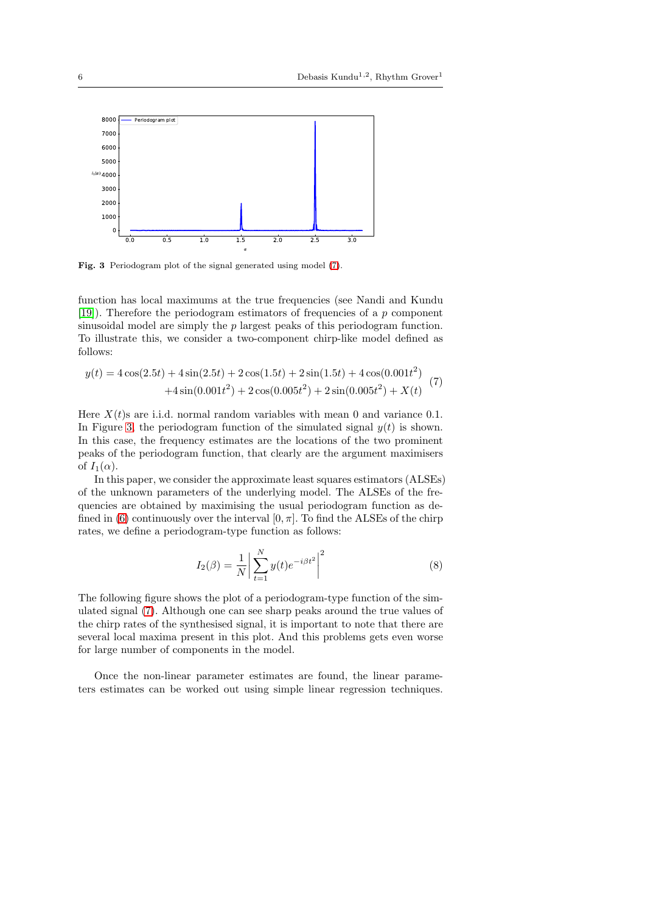

<span id="page-5-1"></span>Fig. 3 Periodogram plot of the signal generated using model [\(7\)](#page-5-0).

function has local maximums at the true frequencies (see Nandi and Kundu [\[19\]](#page-23-5)). Therefore the periodogram estimators of frequencies of a  $p$  component sinusoidal model are simply the  $p$  largest peaks of this periodogram function. To illustrate this, we consider a two-component chirp-like model defined as follows:

<span id="page-5-0"></span>
$$
y(t) = 4\cos(2.5t) + 4\sin(2.5t) + 2\cos(1.5t) + 2\sin(1.5t) + 4\cos(0.001t^2)
$$
  
+4\sin(0.001t<sup>2</sup>) + 2\cos(0.005t<sup>2</sup>) + 2\sin(0.005t<sup>2</sup>) + X(t) (7)

Here  $X(t)$ s are i.i.d. normal random variables with mean 0 and variance 0.1. In Figure [3,](#page-5-1) the periodogram function of the simulated signal  $y(t)$  is shown. In this case, the frequency estimates are the locations of the two prominent peaks of the periodogram function, that clearly are the argument maximisers of  $I_1(\alpha)$ .

In this paper, we consider the approximate least squares estimators (ALSEs) of the unknown parameters of the underlying model. The ALSEs of the frequencies are obtained by maximising the usual periodogram function as de-fined in [\(6\)](#page-4-3) continuously over the interval  $[0, \pi]$ . To find the ALSEs of the chirp rates, we define a periodogram-type function as follows:

<span id="page-5-2"></span>
$$
I_2(\beta) = \frac{1}{N} \left| \sum_{t=1}^{N} y(t) e^{-i\beta t^2} \right|^2
$$
 (8)

The following figure shows the plot of a periodogram-type function of the simulated signal [\(7\)](#page-5-0). Although one can see sharp peaks around the true values of the chirp rates of the synthesised signal, it is important to note that there are several local maxima present in this plot. And this problems gets even worse for large number of components in the model.

Once the non-linear parameter estimates are found, the linear parameters estimates can be worked out using simple linear regression techniques.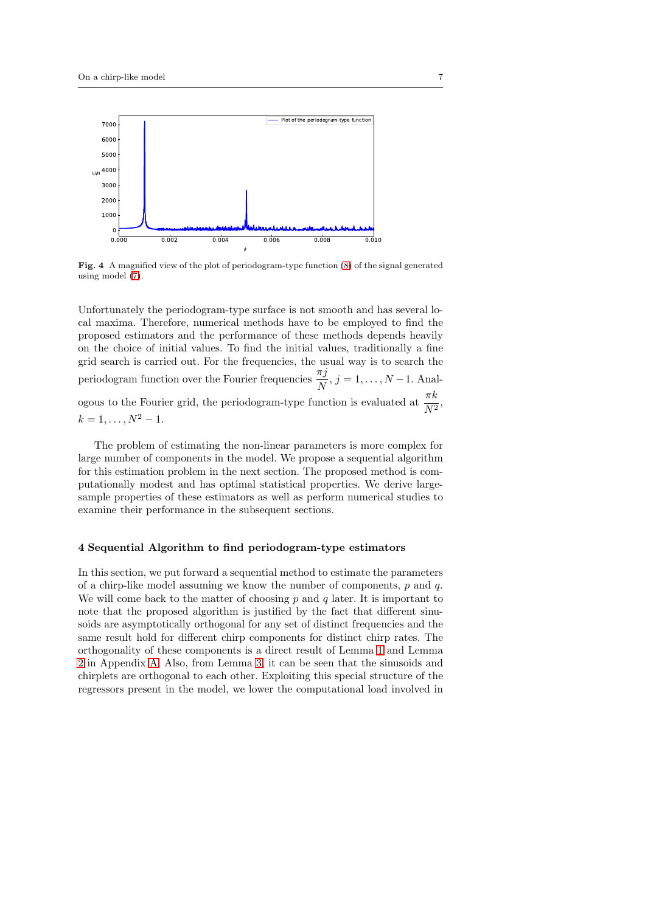

Fig. 4 A magnified view of the plot of periodogram-type function [\(8\)](#page-5-2) of the signal generated using model [\(7\)](#page-5-0).

Unfortunately the periodogram-type surface is not smooth and has several local maxima. Therefore, numerical methods have to be employed to find the proposed estimators and the performance of these methods depends heavily on the choice of initial values. To find the initial values, traditionally a fine grid search is carried out. For the frequencies, the usual way is to search the periodogram function over the Fourier frequencies  $\frac{\pi j}{N}$ ,  $j = 1, ..., N - 1$ . Analogous to the Fourier grid, the periodogram-type function is evaluated at  $\frac{\pi k}{N^2}$ ,  $k = 1, \ldots, N^2 - 1.$ 

The problem of estimating the non-linear parameters is more complex for large number of components in the model. We propose a sequential algorithm for this estimation problem in the next section. The proposed method is computationally modest and has optimal statistical properties. We derive largesample properties of these estimators as well as perform numerical studies to examine their performance in the subsequent sections.

### <span id="page-6-0"></span>4 Sequential Algorithm to find periodogram-type estimators

In this section, we put forward a sequential method to estimate the parameters of a chirp-like model assuming we know the number of components,  $p$  and  $q$ . We will come back to the matter of choosing  $p$  and  $q$  later. It is important to note that the proposed algorithm is justified by the fact that different sinusoids are asymptotically orthogonal for any set of distinct frequencies and the same result hold for different chirp components for distinct chirp rates. The orthogonality of these components is a direct result of Lemma [1](#page-16-0) and Lemma [2](#page-16-1) in Appendix [A.](#page-16-2) Also, from Lemma [3,](#page-16-3) it can be seen that the sinusoids and chirplets are orthogonal to each other. Exploiting this special structure of the regressors present in the model, we lower the computational load involved in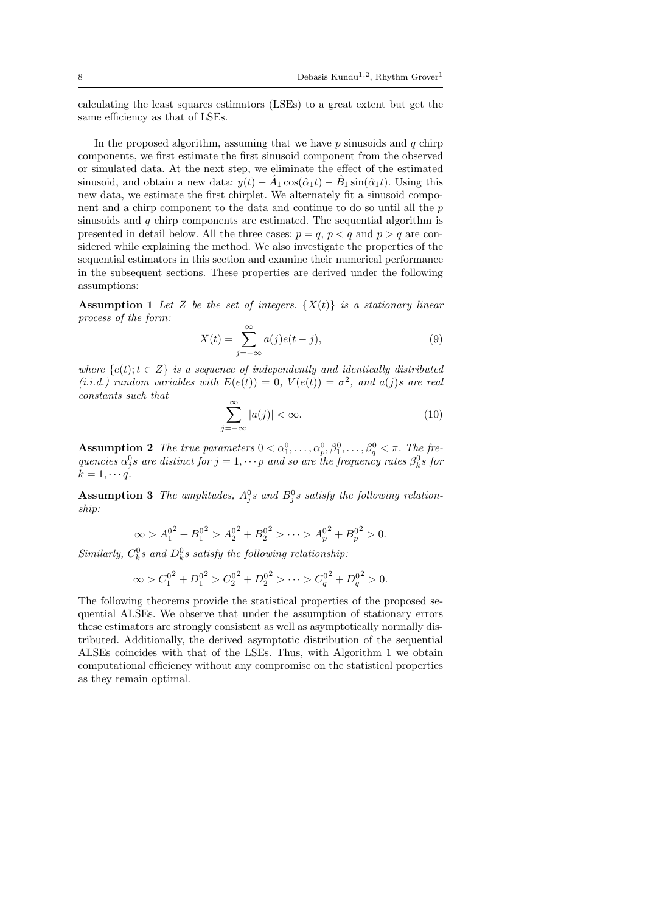calculating the least squares estimators (LSEs) to a great extent but get the same efficiency as that of LSEs.

In the proposed algorithm, assuming that we have  $p$  sinusoids and  $q$  chirp components, we first estimate the first sinusoid component from the observed or simulated data. At the next step, we eliminate the effect of the estimated sinusoid, and obtain a new data:  $y(t) - \hat{A}_1 \cos(\hat{\alpha}_1 t) - \hat{B}_1 \sin(\hat{\alpha}_1 t)$ . Using this new data, we estimate the first chirplet. We alternately fit a sinusoid component and a chirp component to the data and continue to do so until all the p sinusoids and  $q$  chirp components are estimated. The sequential algorithm is presented in detail below. All the three cases:  $p = q$ ,  $p < q$  and  $p > q$  are considered while explaining the method. We also investigate the properties of the sequential estimators in this section and examine their numerical performance in the subsequent sections. These properties are derived under the following assumptions:

<span id="page-7-0"></span>**Assumption 1** Let Z be the set of integers.  $\{X(t)\}\$ is a stationary linear *process of the form:*

$$
X(t) = \sum_{j=-\infty}^{\infty} a(j)e(t-j),
$$
\n(9)

*where*  $\{e(t); t \in Z\}$  *is a sequence of independently and identically distributed*  $(i.i.d.)$  random variables with  $E(e(t)) = 0$ ,  $V(e(t)) = \sigma^2$ , and  $a(j)s$  are real *constants such that*

$$
\sum_{j=-\infty}^{\infty} |a(j)| < \infty. \tag{10}
$$

<span id="page-7-1"></span>Assumption 2 The true parameters  $0 < \alpha_1^0, \ldots, \alpha_p^0, \beta_1^0, \ldots, \beta_q^0 < \pi$ . The fre*quencies*  $\alpha_j^0 s$  are distinct for  $j = 1, \dots p$  and so are the frequency rates  $\beta_k^0 s$  for  $k = 1, \cdots q$ .

<span id="page-7-2"></span>Assumption 3 The amplitudes,  $A_j^0s$  and  $B_j^0s$  satisfy the following relation*ship:*

$$
\infty > A_1^{0^2} + B_1^{0^2} > A_2^{0^2} + B_2^{0^2} > \dots > A_p^{0^2} + B_p^{0^2} > 0.
$$

 $Similarly, C_k^0$ s and  $D_k^0$ s satisfy the following relationship:

$$
\infty > C_1^{0^2} + D_1^{0^2} > C_2^{0^2} + D_2^{0^2} > \dots > C_q^{0^2} + D_q^{0^2} > 0.
$$

The following theorems provide the statistical properties of the proposed sequential ALSEs. We observe that under the assumption of stationary errors these estimators are strongly consistent as well as asymptotically normally distributed. Additionally, the derived asymptotic distribution of the sequential ALSEs coincides with that of the LSEs. Thus, with Algorithm 1 we obtain computational efficiency without any compromise on the statistical properties as they remain optimal.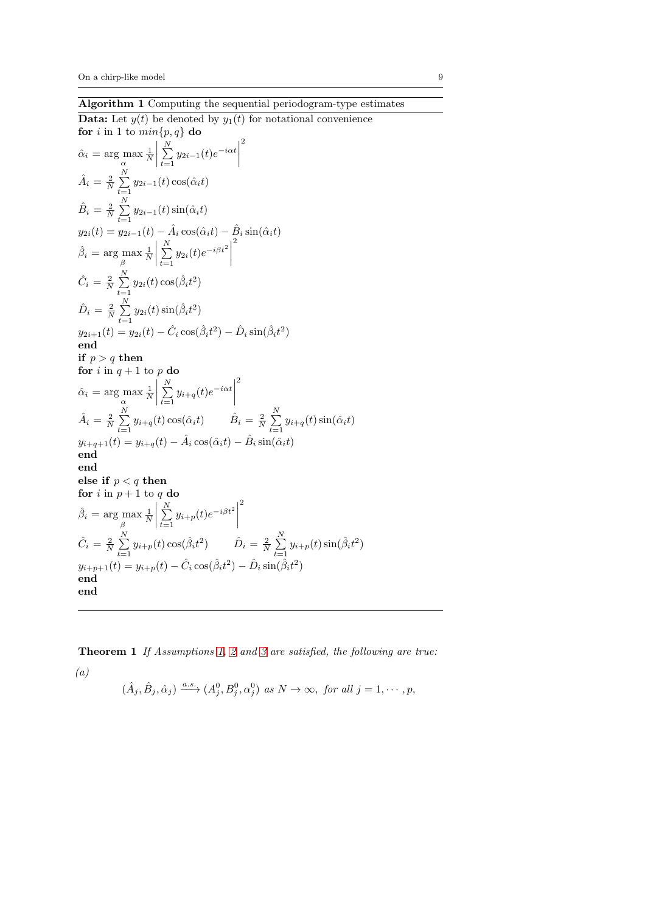**Data:** Let  $y(t)$  be denoted by  $y_1(t)$  for notational convenience for *i* in 1 to  $min\{p, q\}$  do 2

$$
\hat{\alpha}_i = \arg \max_{\alpha} \frac{1}{N} \left| \sum_{t=1}^{N} y_{2i-1}(t) e^{-i\alpha t} \right|^2
$$
\n
$$
\hat{A}_i = \frac{2}{N} \sum_{t=1}^{N} y_{2i-1}(t) \cos(\hat{\alpha}_i t)
$$
\n
$$
\hat{B}_i = \frac{2}{N} \sum_{t=1}^{N} y_{2i-1}(t) \sin(\hat{\alpha}_i t)
$$
\n
$$
y_{2i}(t) = y_{2i-1}(t) - \hat{A}_i \cos(\hat{\alpha}_i t) - \hat{B}_i \sin(\hat{\alpha}_i t)
$$
\n
$$
\hat{\beta}_i = \arg \max_{\beta} \frac{1}{N} \left| \sum_{t=1}^{N} y_{2i}(t) e^{-i\beta t^2} \right|^2
$$
\n
$$
\hat{C}_i = \frac{2}{N} \sum_{t=1}^{N} y_{2i}(t) \cos(\hat{\beta}_i t^2)
$$
\n
$$
\hat{D}_i = \frac{2}{N} \sum_{t=1}^{N} y_{2i}(t) \sin(\hat{\beta}_i t^2)
$$
\n
$$
y_{2i+1}(t) = y_{2i}(t) - \hat{C}_i \cos(\hat{\beta}_i t^2) - \hat{D}_i \sin(\hat{\beta}_i t^2)
$$
\n
$$
\text{end}
$$
\n
$$
\text{if } p > q \text{ then}
$$
\nfor  $i$  in  $q + 1$  to  $p$  do\n
$$
\hat{\alpha}_i = \arg \max_{\alpha} \frac{1}{N} \left| \sum_{t=1}^{N} y_{i+q}(t) e^{-i\alpha t} \right|^2
$$
\n
$$
\hat{A}_i = \frac{2}{N} \sum_{t=1}^{N} y_{i+q}(t) \cos(\hat{\alpha}_i t) \qquad \hat{B}_i = \frac{2}{N} \sum_{t=1}^{N} y_{i+q}(t) \sin(\hat{\alpha}_i t)
$$
\n
$$
y_{i+q+1}(t) = y_{i+q}(t) - \hat{A}_i \cos(\hat{\alpha}_i t) - \hat{B}_i \sin(\hat{\alpha}_i t)
$$
\n
$$
\text{end}
$$
\n
$$
\hat{\beta}_i = \arg \
$$

<span id="page-8-0"></span>Theorem 1 *If Assumptions [1,](#page-7-0) [2](#page-7-1) and [3](#page-7-2) are satisfied, the following are true: (a)*

 $(\hat{A}_j, \hat{B}_j, \hat{\alpha}_j) \xrightarrow{a.s.} (A_j^0, B_j^0, \alpha_j^0)$  as  $N \to \infty$ , for all  $j = 1, \dots, p$ ,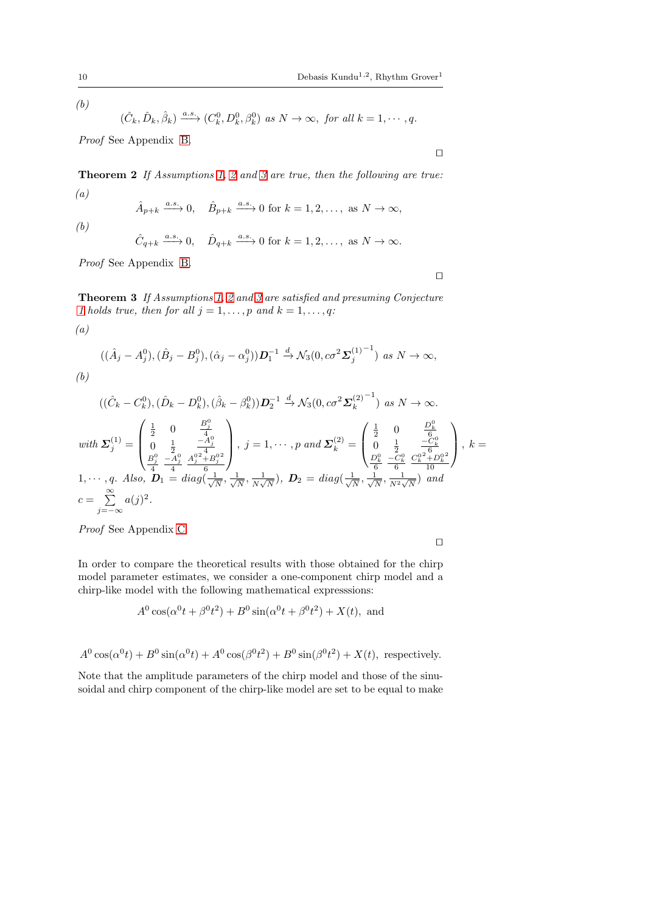*(b)*

*(b)*

*(a)*

$$
(\hat{C}_k, \hat{D}_k, \hat{\beta}_k) \xrightarrow{a.s.} (C_k^0, D_k^0, \beta_k^0) \text{ as } N \to \infty, \text{ for all } k = 1, \cdots, q.
$$

*Proof* See Appendix [B.](#page-17-0)

<span id="page-9-1"></span>Theorem 2 *If Assumptions [1,](#page-7-0) [2](#page-7-1) and [3](#page-7-2) are true, then the following are true: (a)*

$$
\hat{A}_{p+k} \xrightarrow{a.s.} 0
$$
,  $\hat{B}_{p+k} \xrightarrow{a.s.} 0$  for  $k = 1, 2, ...,$  as  $N \to \infty$ ,

$$
\hat{C}_{q+k} \xrightarrow{a.s.} 0, \quad \hat{D}_{q+k} \xrightarrow{a.s.} 0 \text{ for } k = 1, 2, \dots, \text{ as } N \to \infty.
$$

*Proof* See Appendix [B.](#page-17-0)

<span id="page-9-0"></span>Theorem 3 *If Assumptions [1,](#page-7-0) [2](#page-7-1) and [3](#page-7-2) are satisfied and presuming Conjecture [1](#page-17-1)* holds true, then for all  $j = 1, \ldots, p$  and  $k = 1, \ldots, q$ :

$$
((\hat{A}_j - A_j^0), (\hat{B}_j - B_j^0), (\hat{\alpha}_j - \alpha_j^0))\mathbf{D}_1^{-1} \xrightarrow{d} \mathcal{N}_3(0, c\sigma^2 \mathbf{\Sigma}_j^{(1)}^{-1}) \text{ as } N \to \infty,
$$
  
(b)

$$
((\hat{C}_{k} - C_{k}^{0}), (\hat{D}_{k} - D_{k}^{0}), (\hat{\beta}_{k} - \beta_{k}^{0}))\mathbf{D}_{2}^{-1} \xrightarrow{d} \mathcal{N}_{3}(0, c\sigma^{2} \mathbf{\Sigma}_{k}^{(2)}^{-1}) \text{ as } N \to \infty.
$$
  
\nwith  $\mathbf{\Sigma}_{j}^{(1)} = \begin{pmatrix} \frac{1}{2} & 0 & \frac{B_{j}^{0}}{4} \\ 0 & \frac{1}{2} & -\frac{A_{j}^{0}}{4} \\ \frac{B_{j}^{0}}{4} & -\frac{A_{j}^{0}}{4} & \frac{A_{j}^{0.2} + B_{j}^{0.2}}{6} \end{pmatrix}, j = 1, \cdots, p \text{ and } \mathbf{\Sigma}_{k}^{(2)} = \begin{pmatrix} \frac{1}{2} & 0 & \frac{D_{k}^{0}}{6} \\ 0 & \frac{1}{2} & -\frac{C_{k}^{0}}{6} \\ \frac{D_{k}^{0}}{6} & \frac{C_{k}^{0}}{6} & \frac{C_{k}^{0.2} + D_{k}^{0.2}}{10} \end{pmatrix}, k = 1, \cdots, q.$  Also,  $\mathbf{D}_{1} = diag(\frac{1}{\sqrt{N}}, \frac{1}{\sqrt{N}}, \frac{1}{N\sqrt{N}}), \mathbf{D}_{2} = diag(\frac{1}{\sqrt{N}}, \frac{1}{\sqrt{N}}, \frac{1}{N^{2}\sqrt{N}}) \text{ and }$   
\n $c = \sum_{j=-\infty}^{\infty} a(j)^{2}.$ 

*Proof* See Appendix [C.](#page-20-0)

$$
\Box
$$

⊓⊔

⊓⊔

In order to compare the theoretical results with those obtained for the chirp model parameter estimates, we consider a one-component chirp model and a chirp-like model with the following mathematical expresssions:

$$
A^0 \cos(\alpha^0 t + \beta^0 t^2) + B^0 \sin(\alpha^0 t + \beta^0 t^2) + X(t)
$$
, and

 $A^0 \cos(\alpha^0 t) + B^0 \sin(\alpha^0 t) + A^0 \cos(\beta^0 t^2) + B^0 \sin(\beta^0 t^2) + X(t)$ , respectively.

Note that the amplitude parameters of the chirp model and those of the sinusoidal and chirp component of the chirp-like model are set to be equal to make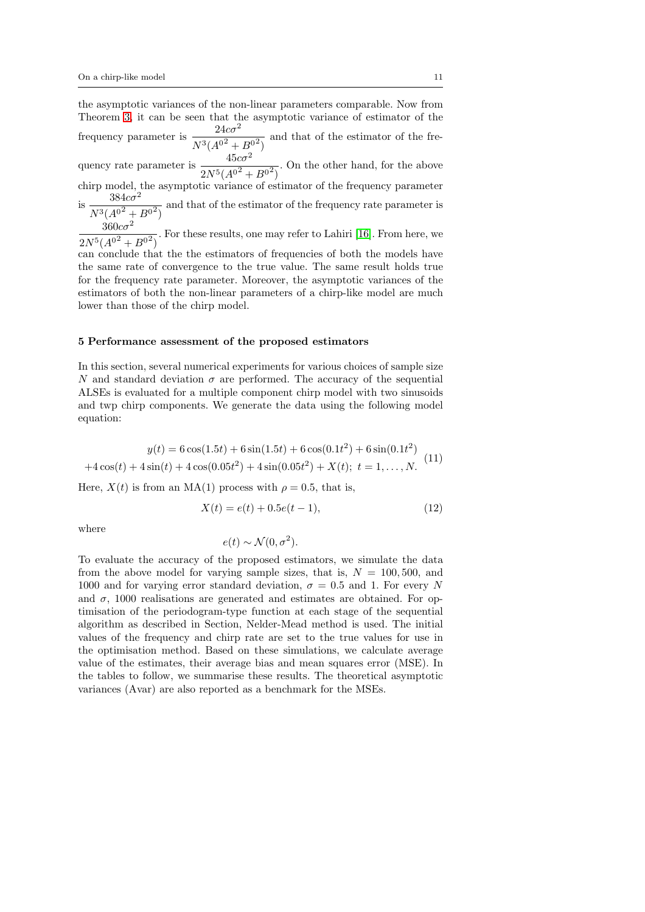the asymptotic variances of the non-linear parameters comparable. Now from Theorem [3,](#page-9-0) it can be seen that the asymptotic variance of estimator of the frequency parameter is  $\frac{24c\sigma^2}{\sigma^2}$  $N^3(A^{0^2}+B^{0^2})$ and that of the estimator of the frequency rate parameter is  $\frac{45c\sigma^2}{\sigma^2}$  $2N^5(A^{0^2}+B^{0^2})$ . On the other hand, for the above chirp model, the asymptotic variance of estimator of the frequency parameter is  $\frac{3646}{N^3(A^{0^2}+B^{0^2})}$  $384c\sigma^2$ and that of the estimator of the frequency rate parameter is  $360c\sigma^2$  $2N^5(A^{0^2}+B^{0^2})$ . For these results, one may refer to Lahiri [\[16\]](#page-23-6). From here, we can conclude that the the estimators of frequencies of both the models have the same rate of convergence to the true value. The same result holds true for the frequency rate parameter. Moreover, the asymptotic variances of the estimators of both the non-linear parameters of a chirp-like model are much lower than those of the chirp model.

#### <span id="page-10-0"></span>5 Performance assessment of the proposed estimators

In this section, several numerical experiments for various choices of sample size N and standard deviation  $\sigma$  are performed. The accuracy of the sequential ALSEs is evaluated for a multiple component chirp model with two sinusoids and twp chirp components. We generate the data using the following model equation:

<span id="page-10-1"></span>
$$
y(t) = 6\cos(1.5t) + 6\sin(1.5t) + 6\cos(0.1t^2) + 6\sin(0.1t^2)
$$
  
+4\cos(t) + 4\sin(t) + 4\cos(0.05t^2) + 4\sin(0.05t^2) + X(t); t = 1,..., N. (11)

Here,  $X(t)$  is from an MA(1) process with  $\rho = 0.5$ , that is,

$$
X(t) = e(t) + 0.5e(t - 1),
$$
\n(12)

where

$$
e(t) \sim \mathcal{N}(0, \sigma^2).
$$

To evaluate the accuracy of the proposed estimators, we simulate the data from the above model for varying sample sizes, that is,  $N = 100, 500$ , and 1000 and for varying error standard deviation,  $\sigma = 0.5$  and 1. For every N and  $\sigma$ , 1000 realisations are generated and estimates are obtained. For optimisation of the periodogram-type function at each stage of the sequential algorithm as described in Section, Nelder-Mead method is used. The initial values of the frequency and chirp rate are set to the true values for use in the optimisation method. Based on these simulations, we calculate average value of the estimates, their average bias and mean squares error (MSE). In the tables to follow, we summarise these results. The theoretical asymptotic variances (Avar) are also reported as a benchmark for the MSEs.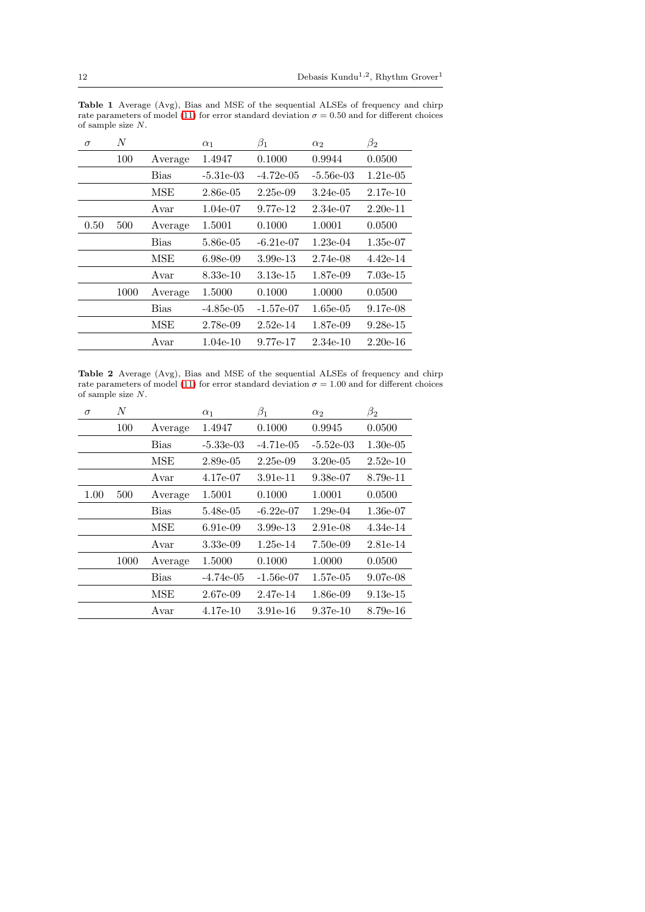<span id="page-11-0"></span>Table 1 Average (Avg), Bias and MSE of the sequential ALSEs of frequency and chirp rate parameters of model [\(11\)](#page-10-1) for error standard deviation  $\sigma = 0.50$  and for different choices of sample size N.

| $\sigma$ | N    |             | $\alpha_1$  | $\beta_1$   | $\alpha_2$  | $\beta_2$  |
|----------|------|-------------|-------------|-------------|-------------|------------|
|          | 100  | Average     | 1.4947      | 0.1000      | 0.9944      | 0.0500     |
|          |      | Bias        | $-5.31e-03$ | $-4.72e-05$ | $-5.56e-03$ | 1.21e-05   |
|          |      | MSE         | 2.86e-05    | 2.25e-09    | 3.24e-05    | $2.17e-10$ |
|          |      | Avar        | 1.04e-07    | 9.77e-12    | $2.34e-07$  | $2.20e-11$ |
| 0.50     | 500  | Average     | 1.5001      | 0.1000      | 1.0001      | 0.0500     |
|          |      | <b>Bias</b> | 5.86e-05    | $-6.21e-07$ | $1.23e-04$  | $1.35e-07$ |
|          |      | MSE         | 6.98e-09    | $3.99e-13$  | 2.74e-08    | 4.42e-14   |
|          |      | Avar        | 8.33e-10    | $3.13e-15$  | 1.87e-09    | $7.03e-15$ |
|          | 1000 | Average     | 1.5000      | 0.1000      | 1.0000      | 0.0500     |
|          |      | <b>Bias</b> | $-4.85e-05$ | $-1.57e-07$ | $1.65e-05$  | 9.17e-08   |
|          |      | MSE         | 2.78e-09    | $2.52e-14$  | 1.87e-09    | $9.28e-15$ |
|          |      | Avar        | $1.04e-10$  | 9.77e-17    | $2.34e-10$  | $2.20e-16$ |
|          |      |             |             |             |             |            |

<span id="page-11-1"></span>Table 2 Average (Avg), Bias and MSE of the sequential ALSEs of frequency and chirp rate parameters of model [\(11\)](#page-10-1) for error standard deviation  $\sigma = 1.00$  and for different choices of sample size  $\cal N.$ 

| $\sigma$ | $\overline{N}$ |             | $\alpha_1$  | $\beta_1$    | $\alpha_2$  | $\beta_2$   |
|----------|----------------|-------------|-------------|--------------|-------------|-------------|
|          | 100            | Average     | 1.4947      | 0.1000       | 0.9945      | 0.0500      |
|          |                | <b>Bias</b> | $-5.33e-03$ | $-4.71e-0.5$ | $-5.52e-03$ | $1.30e-0.5$ |
|          |                | MSE         | $2.89e-0.5$ | 2.25e-09     | $3.20e-0.5$ | $2.52e-10$  |
|          |                | Avar        | 4.17e-07    | 3.91e-11     | $9.38e-07$  | 8.79e-11    |
| 1.00     | 500            | Average     | 1.5001      | 0.1000       | 1.0001      | 0.0500      |
|          |                | <b>Bias</b> | 5.48e-05    | $-6.22e-07$  | $1.29e-04$  | 1.36e-07    |
|          |                | <b>MSE</b>  | 6.91e-09    | 3.99e-13     | $2.91e-08$  | 4.34e-14    |
|          |                | Avar        | 3.33e-09    | 1.25e-14     | $7.50e-0.9$ | 2.81e-14    |
|          | 1000           | Average     | 1.5000      | 0.1000       | 1.0000      | 0.0500      |
|          |                | <b>Bias</b> | $-4.74e-05$ | $-1.56e-07$  | $1.57e-05$  | 9.07e-08    |
|          |                | MSE         | 2.67e-09    | 2.47e-14     | 1.86e-09    | $9.13e-15$  |
|          |                | Avar        | $4.17e-10$  | 3.91e-16     | $9.37e-10$  | 8.79e-16    |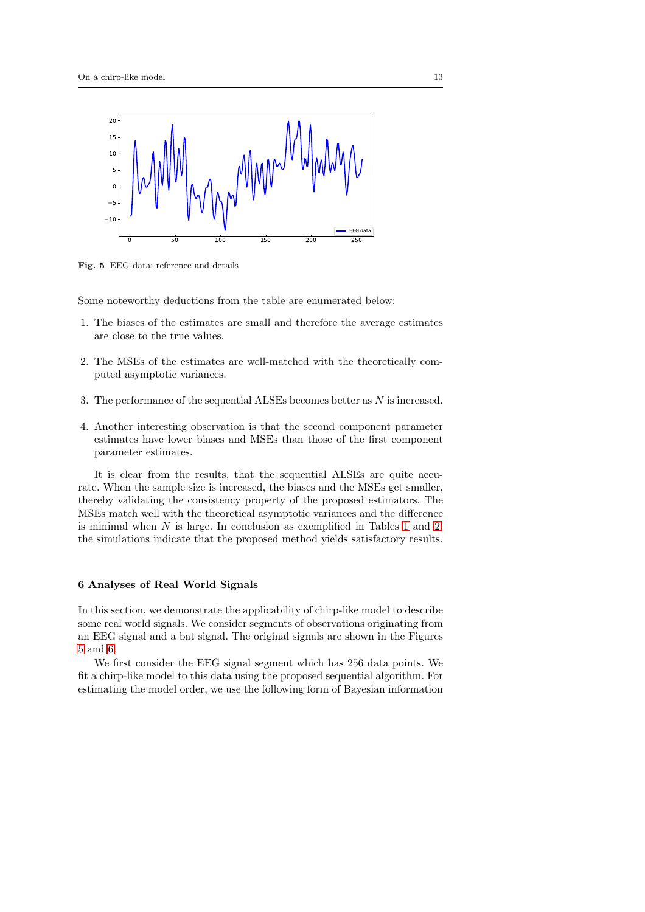

<span id="page-12-1"></span>Fig. 5 EEG data: reference and details

Some noteworthy deductions from the table are enumerated below:

- 1. The biases of the estimates are small and therefore the average estimates are close to the true values.
- 2. The MSEs of the estimates are well-matched with the theoretically computed asymptotic variances.
- 3. The performance of the sequential ALSEs becomes better as N is increased.
- 4. Another interesting observation is that the second component parameter estimates have lower biases and MSEs than those of the first component parameter estimates.

It is clear from the results, that the sequential ALSEs are quite accurate. When the sample size is increased, the biases and the MSEs get smaller, thereby validating the consistency property of the proposed estimators. The MSEs match well with the theoretical asymptotic variances and the difference is minimal when  $N$  is large. In conclusion as exemplified in Tables [1](#page-11-0) and [2,](#page-11-1) the simulations indicate that the proposed method yields satisfactory results.

### <span id="page-12-0"></span>6 Analyses of Real World Signals

In this section, we demonstrate the applicability of chirp-like model to describe some real world signals. We consider segments of observations originating from an EEG signal and a bat signal. The original signals are shown in the Figures [5](#page-12-1) and [6.](#page-13-0)

We first consider the EEG signal segment which has 256 data points. We fit a chirp-like model to this data using the proposed sequential algorithm. For estimating the model order, we use the following form of Bayesian information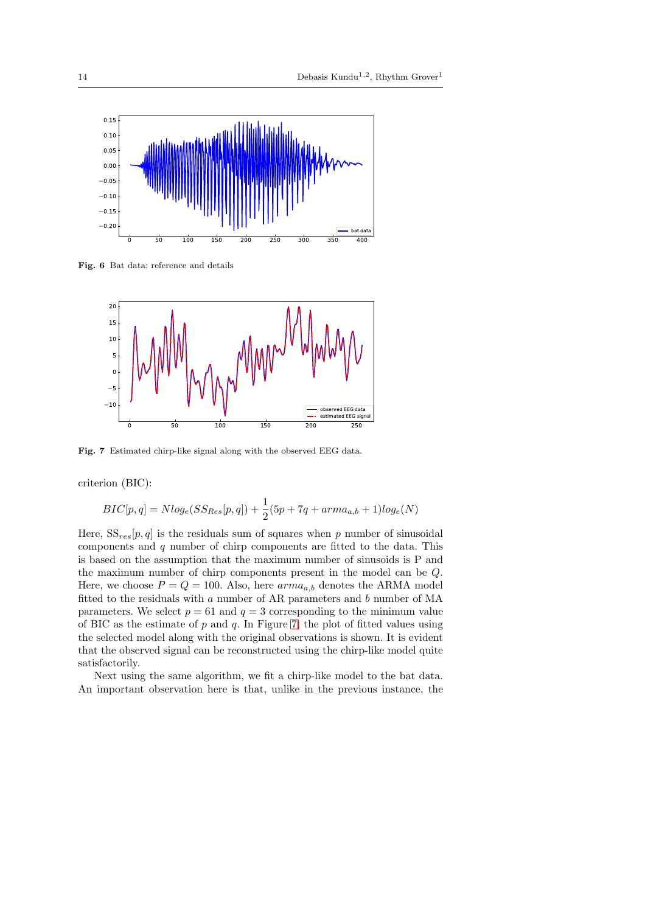

Fig. 6 Bat data: reference and details

<span id="page-13-0"></span>

<span id="page-13-1"></span>Fig. 7 Estimated chirp-like signal along with the observed EEG data.

criterion (BIC):

$$
BIC[p, q] = Nlog_e(SS_{Res}[p, q]) + \frac{1}{2}(5p + 7q + arma_{a,b} + 1)log_e(N)
$$

Here,  $SS_{res}[p,q]$  is the residuals sum of squares when p number of sinusoidal components and q number of chirp components are fitted to the data. This is based on the assumption that the maximum number of sinusoids is P and the maximum number of chirp components present in the model can be Q. Here, we choose  $P = Q = 100$ . Also, here  $arma_{a,b}$  denotes the ARMA model fitted to the residuals with  $a$  number of AR parameters and  $b$  number of MA parameters. We select  $p = 61$  and  $q = 3$  corresponding to the minimum value of BIC as the estimate of  $p$  and  $q$ . In Figure [7,](#page-13-1) the plot of fitted values using the selected model along with the original observations is shown. It is evident that the observed signal can be reconstructed using the chirp-like model quite satisfactorily.

Next using the same algorithm, we fit a chirp-like model to the bat data. An important observation here is that, unlike in the previous instance, the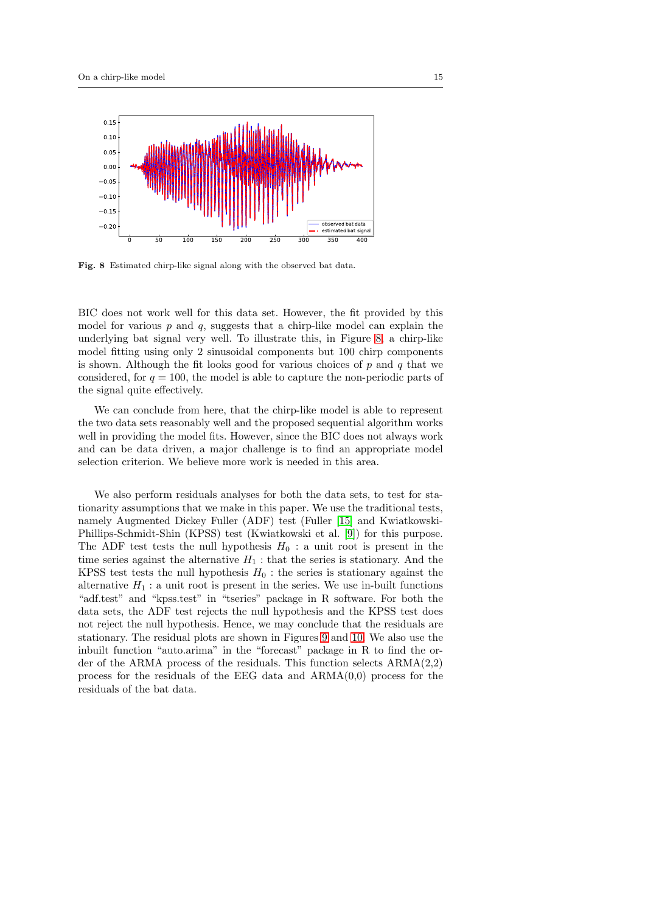

<span id="page-14-0"></span>Fig. 8 Estimated chirp-like signal along with the observed bat data.

BIC does not work well for this data set. However, the fit provided by this model for various  $p$  and  $q$ , suggests that a chirp-like model can explain the underlying bat signal very well. To illustrate this, in Figure [8,](#page-14-0) a chirp-like model fitting using only 2 sinusoidal components but 100 chirp components is shown. Although the fit looks good for various choices of  $p$  and  $q$  that we considered, for  $q = 100$ , the model is able to capture the non-periodic parts of the signal quite effectively.

We can conclude from here, that the chirp-like model is able to represent the two data sets reasonably well and the proposed sequential algorithm works well in providing the model fits. However, since the BIC does not always work and can be data driven, a major challenge is to find an appropriate model selection criterion. We believe more work is needed in this area.

We also perform residuals analyses for both the data sets, to test for stationarity assumptions that we make in this paper. We use the traditional tests, namely Augmented Dickey Fuller (ADF) test (Fuller [\[15\]](#page-23-7) and Kwiatkowski-Phillips-Schmidt-Shin (KPSS) test (Kwiatkowski et al. [\[9\]](#page-22-8)) for this purpose. The ADF test tests the null hypothesis  $H_0$ : a unit root is present in the time series against the alternative  $H_1$ : that the series is stationary. And the KPSS test tests the null hypothesis  $H_0$ : the series is stationary against the alternative  $H_1$ : a unit root is present in the series. We use in-built functions "adf.test" and "kpss.test" in "tseries" package in R software. For both the data sets, the ADF test rejects the null hypothesis and the KPSS test does not reject the null hypothesis. Hence, we may conclude that the residuals are stationary. The residual plots are shown in Figures [9](#page-15-1) and [10.](#page-15-2) We also use the inbuilt function "auto.arima" in the "forecast" package in R to find the order of the ARMA process of the residuals. This function selects ARMA(2,2) process for the residuals of the EEG data and  $ARMA(0,0)$  process for the residuals of the bat data.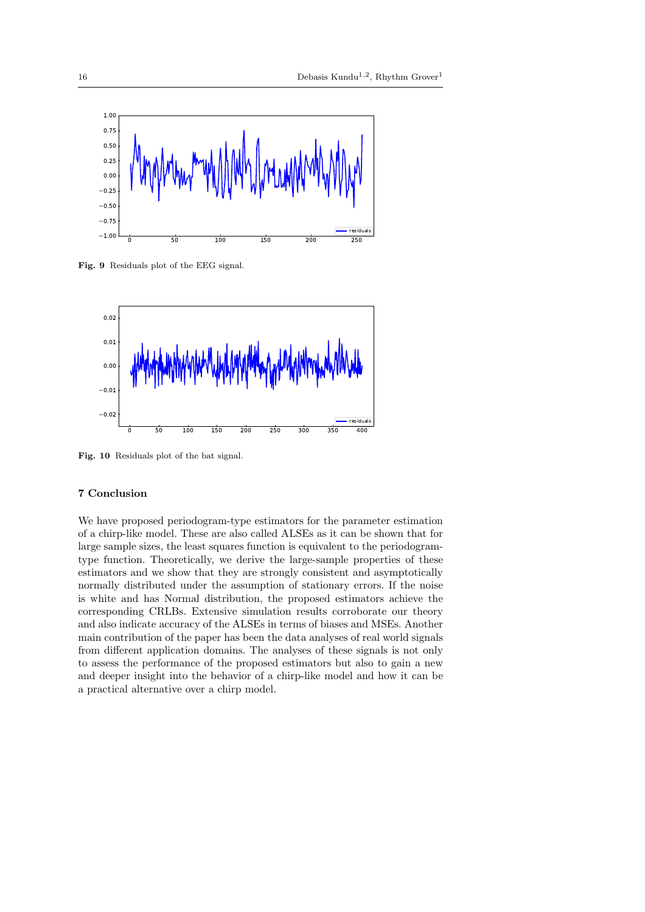

<span id="page-15-1"></span>Fig. 9 Residuals plot of the EEG signal.



<span id="page-15-2"></span>Fig. 10 Residuals plot of the bat signal.

### <span id="page-15-0"></span>7 Conclusion

We have proposed periodogram-type estimators for the parameter estimation of a chirp-like model. These are also called ALSEs as it can be shown that for large sample sizes, the least squares function is equivalent to the periodogramtype function. Theoretically, we derive the large-sample properties of these estimators and we show that they are strongly consistent and asymptotically normally distributed under the assumption of stationary errors. If the noise is white and has Normal distribution, the proposed estimators achieve the corresponding CRLBs. Extensive simulation results corroborate our theory and also indicate accuracy of the ALSEs in terms of biases and MSEs. Another main contribution of the paper has been the data analyses of real world signals from different application domains. The analyses of these signals is not only to assess the performance of the proposed estimators but also to gain a new and deeper insight into the behavior of a chirp-like model and how it can be a practical alternative over a chirp model.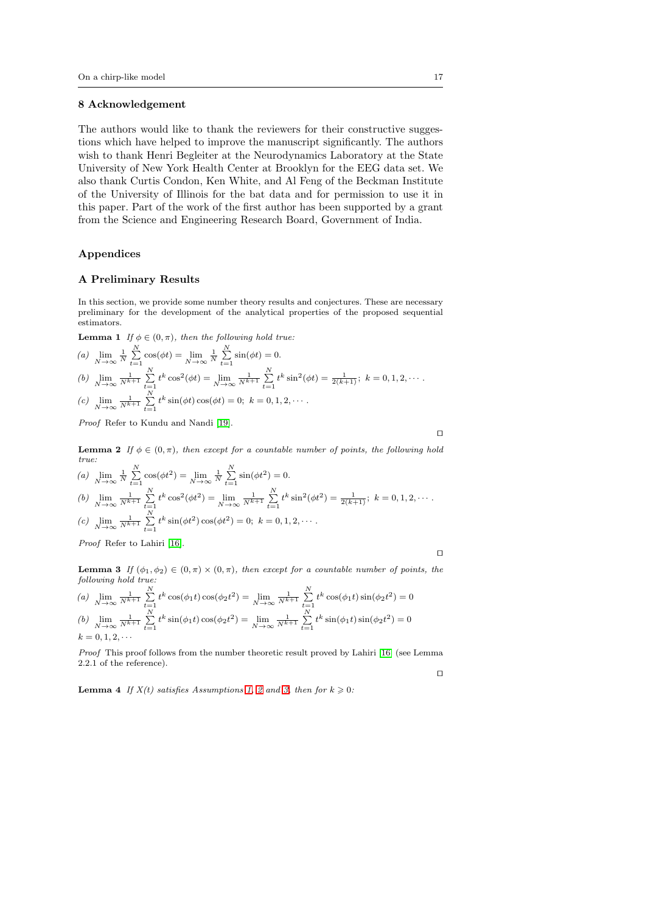### 8 Acknowledgement

The authors would like to thank the reviewers for their constructive suggestions which have helped to improve the manuscript significantly. The authors wish to thank Henri Begleiter at the Neurodynamics Laboratory at the State University of New York Health Center at Brooklyn for the EEG data set. We also thank Curtis Condon, Ken White, and Al Feng of the Beckman Institute of the University of Illinois for the bat data and for permission to use it in this paper. Part of the work of the first author has been supported by a grant from the Science and Engineering Research Board, Government of India.

### Appendices

### <span id="page-16-2"></span>A Preliminary Results

In this section, we provide some number theory results and conjectures. These are necessary preliminary for the development of the analytical properties of the proposed sequential estimators.

<span id="page-16-0"></span>**Lemma 1** *If*  $\phi \in (0, \pi)$ *, then the following hold true:* 

(a) 
$$
\lim_{N \to \infty} \frac{1}{N} \sum_{t=1}^{N} \cos(\phi t) = \lim_{N \to \infty} \frac{1}{N} \sum_{t=1}^{N} \sin(\phi t) = 0.
$$
  
\n(b)  $\lim_{N \to \infty} \frac{1}{N^{k+1}} \sum_{t=1}^{N} t^k \cos^2(\phi t) = \lim_{N \to \infty} \frac{1}{N^{k+1}} \sum_{t=1}^{N} t^k \sin^2(\phi t) = \frac{1}{2(k+1)}; k = 0, 1, 2, \cdots$   
\n(c)  $\lim_{N \to \infty} \frac{1}{N^{k+1}} \sum_{t=1}^{N} t^k \sin(\phi t) \cos(\phi t) = 0; k = 0, 1, 2, \cdots$ 

*Proof* Refer to Kundu and Nandi [\[19\]](#page-23-5).

⊓⊔

<span id="page-16-1"></span>**Lemma 2** *If*  $\phi \in (0, \pi)$ *, then except for a countable number of points, the following hold true:*  $\mathbf{v}$  $\mathbf{v}$ 

(a) 
$$
\lim_{N \to \infty} \frac{1}{N} \sum_{t=1}^{N} \cos(\phi t^2) = \lim_{N \to \infty} \frac{1}{N} \sum_{t=1}^{N} \sin(\phi t^2) = 0.
$$
  
\n(b)  $\lim_{N \to \infty} \frac{1}{N^{k+1}} \sum_{t=1}^{N} t^k \cos^2(\phi t^2) = \lim_{N \to \infty} \frac{1}{N^{k+1}} \sum_{t=1}^{N} t^k \sin^2(\phi t^2) = \frac{1}{2(k+1)}; k = 0, 1, 2, \cdots.$   
\n(c)  $\lim_{N \to \infty} \frac{1}{N^{k+1}} \sum_{t=1}^{N} t^k \sin(\phi t^2) \cos(\phi t^2) = 0; k = 0, 1, 2, \cdots.$ 

*Proof* Refer to Lahiri [\[16\]](#page-23-6).

⊓⊔

<span id="page-16-3"></span>**Lemma 3** *If*  $(\phi_1, \phi_2) \in (0, \pi) \times (0, \pi)$ *, then except for a countable number of points, the following hold true:*

(a) 
$$
\lim_{N \to \infty} \frac{1}{N^{k+1}} \sum_{t=1}^{N} t^k \cos(\phi_1 t) \cos(\phi_2 t^2) = \lim_{N \to \infty} \frac{1}{N^{k+1}} \sum_{t=1}^{N} t^k \cos(\phi_1 t) \sin(\phi_2 t^2) = 0
$$
  
(b) 
$$
\lim_{N \to \infty} \frac{1}{N^{k+1}} \sum_{t=1}^{N} t^k \sin(\phi_1 t) \cos(\phi_2 t^2) = \lim_{N \to \infty} \frac{1}{N^{k+1}} \sum_{t=1}^{N} t^k \sin(\phi_1 t) \sin(\phi_2 t^2) = 0
$$
  
 $k = 0, 1, 2, \dots$ 

*Proof* This proof follows from the number theoretic result proved by Lahiri [\[16\]](#page-23-6) (see Lemma 2.2.1 of the reference). ⊓⊔

<span id="page-16-4"></span>**Lemma 4** *If*  $X(t)$  satisfies Assumptions [1,](#page-7-0) [2](#page-7-1) and [3,](#page-7-2) then for  $k \geq 0$ :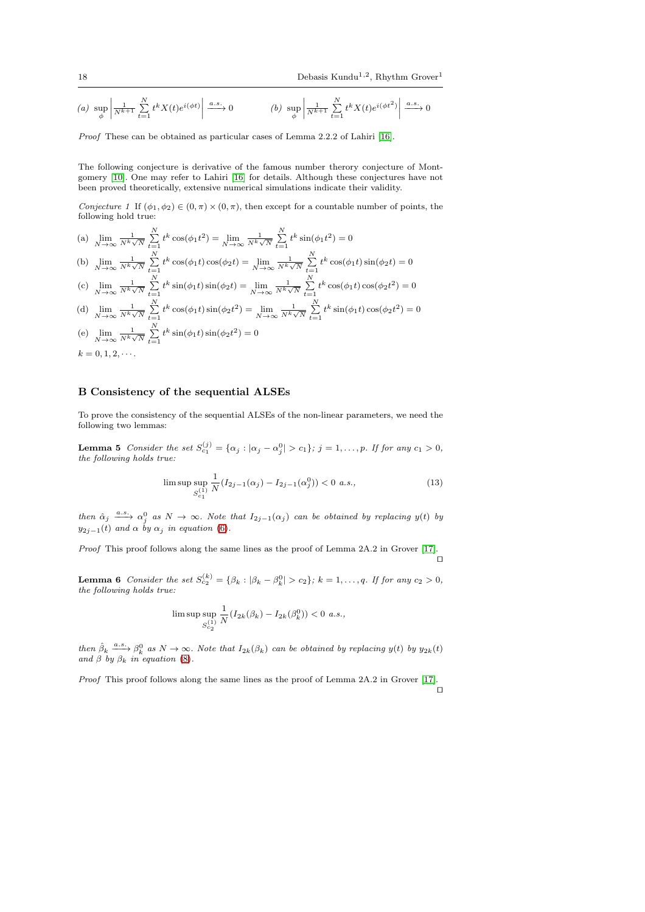$$
(a)\text{ }\sup_{\phi}\left|\frac{1}{N^{k+1}}\sum_{t=1}^{N}t^{k}X(t)e^{i(\phi t)}\right|\xrightarrow{a.s.}0 \qquad \qquad (b)\text{ }\sup_{\phi}\left|\frac{1}{N^{k+1}}\sum_{t=1}^{N}t^{k}X(t)e^{i(\phi t^{2})}\right|\xrightarrow{a.s.}0
$$

*Proof* These can be obtained as particular cases of Lemma 2.2.2 of Lahiri [\[16\]](#page-23-6).

The following conjecture is derivative of the famous number therory conjecture of Montgomery [\[10\]](#page-22-9). One may refer to Lahiri [\[16\]](#page-23-6) for details. Although these conjectures have not been proved theoretically, extensive numerical simulations indicate their validity.

<span id="page-17-1"></span>*Conjecture 1* If  $(\phi_1, \phi_2) \in (0, \pi) \times (0, \pi)$ , then except for a countable number of points, the following hold true:

(a)  $\lim_{N \to \infty}$  $\frac{1}{N^k\sqrt{N}}\sum_{t=1}^N t^k \cos(\phi_1 t^2) = \lim_{N\to\infty}$  $\frac{1}{N^k \sqrt{N}} \sum_{t=1}^N t^k \sin(\phi_1 t^2) = 0$  $\sum_{k=1}^{N} t^k \cos(\phi_1 t) \cos(\phi_2 t) = \lim_{k \to \infty} \frac{1}{N^k} \sum_{k=1}^{N}$ 

(b) 
$$
\lim_{N \to \infty} \frac{1}{N^k \sqrt{N}} \sum_{t=1}^N t^k \cos(\phi_1 t) \cos(\phi_2 t) = \lim_{N \to \infty} \frac{1}{N^k \sqrt{N}} \sum_{t=1}^N t^k \cos(\phi_1 t) \sin(\phi_2 t) = 0
$$

 $(c)$   $\lim_{N \to \infty}$  $\frac{1}{N^k\sqrt{N}}\sum_{t=1}^N t^k \sin(\phi_1 t) \sin(\phi_2 t) = \lim_{N\to\infty}$  $\frac{1}{N^k \sqrt{N}} \sum_{t=1}^N t^k \cos(\phi_1 t) \cos(\phi_2 t^2) = 0$ 

(d) 
$$
\lim_{N \to \infty} \frac{1}{N^k \sqrt{N}} \sum_{t=1}^N t^k \cos(\phi_1 t) \sin(\phi_2 t^2) = \lim_{N \to \infty} \frac{1}{N^k \sqrt{N}} \sum_{t=1}^N t^k \sin(\phi_1 t) \cos(\phi_2 t^2) = 0
$$
  
(e) 
$$
\lim_{N \to \infty} \frac{1}{N} \sum_{t=1}^N t^k \sin(\phi_1 t) \sin(\phi_2 t^2) = 0
$$

(e)  $\lim_{N \to \infty}$  $\frac{1}{N^k \sqrt{N}} \sum_{t=1}^N t^k \sin(\phi_1 t) \sin(\phi_2 t^2) = 0$  $k = 0, 1, 2, \dots$ .

### <span id="page-17-0"></span>B Consistency of the sequential ALSEs

<span id="page-17-2"></span>To prove the consistency of the sequential ALSEs of the non-linear parameters, we need the following two lemmas:

**Lemma 5** *Consider the set*  $S_{c_1}^{(j)} = {\alpha_j : |\alpha_j - \alpha_j^0| > c_1}; j = 1, ..., p$ *. If for any*  $c_1 > 0$ *, the following holds true:*

$$
\limsup_{S_{c_1}^{(1)}} \frac{1}{N} (I_{2j-1}(\alpha_j) - I_{2j-1}(\alpha_j^0)) < 0 \text{ a.s.},\tag{13}
$$

 $\phi$  *then*  $\hat{\alpha}_j \stackrel{a.s.}{\longrightarrow} \alpha_j^0$  *as*  $N \to \infty$ *. Note that*  $I_{2j-1}(\alpha_j)$  *can be obtained by replacing*  $y(t)$  *by*  $y_{2i-1}(t)$  *and*  $\alpha$  *by*  $\alpha_i$  *in equation* [\(6\)](#page-4-3).

*Proof* This proof follows along the same lines as the proof of Lemma 2A.2 in Grover [\[17\]](#page-23-8). ⊓⊔

<span id="page-17-3"></span>**Lemma 6** *Consider the set*  $S_{c_2}^{(k)} = \{\beta_k : |\beta_k - \beta_k^0| > c_2\}$ ;  $k = 1, ..., q$ . If for any  $c_2 > 0$ , *the following holds true:*

$$
\limsup\limits_{S^{(1)}_{c_2}}\frac{1}{N}(I_{2k}(\beta_k)-I_{2k}(\beta_k^0))<0\ \ a.s.,
$$

*then*  $\hat{\beta}_k \xrightarrow{a.s.} \beta_k^0$  *as*  $N \to \infty$ *. Note that*  $I_{2k}(\beta_k)$  *can be obtained by replacing*  $y(t)$  *by*  $y_{2k}(t)$  *and*  $\beta$  *by*  $\beta_k$  *in equation* [\(8\)](#page-5-2)*.* 

*Proof* This proof follows along the same lines as the proof of Lemma 2A.2 in Grover [\[17\]](#page-23-8). ⊓⊔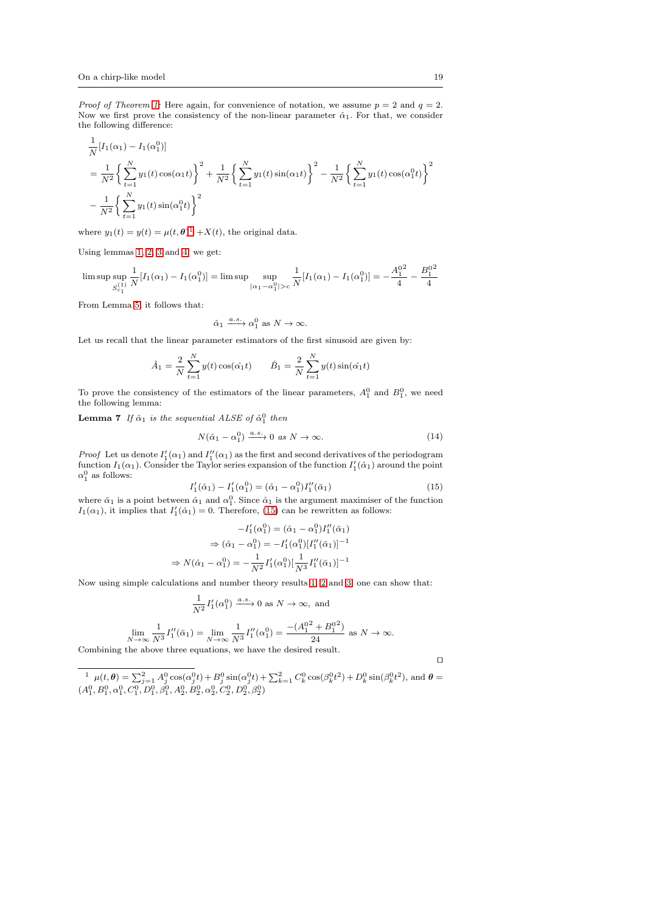1

*Proof of Theorem [1:](#page-8-0)* Here again, for convenience of notation, we assume  $p = 2$  and  $q = 2$ . Now we first prove the consistency of the non-linear parameter  $\hat{\alpha}_1$ . For that, we consider the following difference:

$$
\frac{1}{N}[I_1(\alpha_1) - I_1(\alpha_1^0)]
$$
\n
$$
= \frac{1}{N^2} \left\{ \sum_{t=1}^N y_1(t) \cos(\alpha_1 t) \right\}^2 + \frac{1}{N^2} \left\{ \sum_{t=1}^N y_1(t) \sin(\alpha_1 t) \right\}^2 - \frac{1}{N^2} \left\{ \sum_{t=1}^N y_1(t) \cos(\alpha_1^0 t) \right\}^2
$$
\n
$$
- \frac{1}{N^2} \left\{ \sum_{t=1}^N y_1(t) \sin(\alpha_1^0 t) \right\}^2
$$

where  $y_1(t) = y(t) = \mu(t, \theta)^1 + X(t)$  $y_1(t) = y(t) = \mu(t, \theta)^1 + X(t)$  $y_1(t) = y(t) = \mu(t, \theta)^1 + X(t)$ , the original data.

Using lemmas [1,](#page-16-0) [2,](#page-16-1) [3](#page-16-3) and [4,](#page-16-4) we get:

$$
\limsup_{S_{c_1}^{(1)}} \frac{1}{N} [I_1(\alpha_1) - I_1(\alpha_1^0)] = \limsup_{|\alpha_1 - \alpha_1^0| > c} \frac{1}{N} [I_1(\alpha_1) - I_1(\alpha_1^0)] = -\frac{A_1^{0^2}}{4} - \frac{B_1^{0^2}}{4}
$$

From Lemma [5,](#page-17-2) it follows that:

$$
\hat{\alpha}_1 \xrightarrow{a.s.} \alpha_1^0
$$
 as  $N \to \infty$ .

Let us recall that the linear parameter estimators of the first sinusoid are given by:

<span id="page-18-2"></span>
$$
\hat{A}_1 = \frac{2}{N} \sum_{t=1}^{N} y(t) \cos(\hat{\alpha_1} t) \qquad \hat{B}_1 = \frac{2}{N} \sum_{t=1}^{N} y(t) \sin(\hat{\alpha_1} t)
$$

To prove the consistency of the estimators of the linear parameters,  $A_1^0$  and  $B_1^0$ , we need the following lemma:

**Lemma 7** If  $\hat{\alpha}_1$  is the sequential ALSE of  $\hat{\alpha}_1^0$  then

$$
N(\hat{\alpha}_1 - \alpha_1^0) \xrightarrow{a.s.} 0 \text{ as } N \to \infty.
$$
 (14)

*Proof* Let us denote  $I'_1(\alpha_1)$  and  $I''_1(\alpha_1)$  as the first and second derivatives of the periodogram function  $I_1(\alpha_1)$ . Consider the Taylor series expansion of the function  $I'_1(\hat{\alpha}_1)$  around the point  $\alpha_1^0$  as follows:

<span id="page-18-1"></span>
$$
I_1'(\hat{\alpha}_1) - I_1'(\alpha_1^0) = (\hat{\alpha}_1 - \alpha_1^0)I_1''(\bar{\alpha}_1)
$$
\n(15)

where  $\bar{\alpha}_1$  is a point between  $\hat{\alpha}_1$  and  $\alpha_1^0$ . Since  $\hat{\alpha}_1$  is the argument maximiser of the function  $I_1(\alpha_1)$ , it implies that  $I'_1(\hat{\alpha}_1) = 0$ . Therefore, [\(15\)](#page-18-1) can be rewritten as follows:

$$
-I'_1(\alpha_1^0) = (\hat{\alpha}_1 - \alpha_1^0)I''_1(\bar{\alpha}_1)
$$
  
\n
$$
\Rightarrow (\hat{\alpha}_1 - \alpha_1^0) = -I'_1(\alpha_1^0)[I''_1(\bar{\alpha}_1)]^{-1}
$$
  
\n
$$
\Rightarrow N(\hat{\alpha}_1 - \alpha_1^0) = -\frac{1}{N^2}I'_1(\alpha_1^0)[\frac{1}{N^3}I''_1(\bar{\alpha}_1)]^{-1}
$$

Now using simple calculations and number theory results [1,](#page-16-0) [2](#page-16-1) and [3,](#page-16-3) one can show that:

$$
\frac{1}{N^2}I'_1(\alpha_1^0) \xrightarrow{a.s.} 0 \text{ as } N \to \infty, \text{ and}
$$

$$
\lim_{N \to \infty} \frac{1}{N^3} I_1''(\bar{\alpha}_1) = \lim_{N \to \infty} \frac{1}{N^3} I_1''(\alpha_1^0) = \frac{-(A_1^{0^2} + B_1^{0^2})}{24} \text{ as } N \to \infty.
$$

Combining the above three equations, we have the desired result.

<span id="page-18-0"></span> $\frac{1}{2} \mu(t,\theta) = \sum_{j=1}^{2} A_j^0 \cos(\alpha_j^0 t) + B_j^0 \sin(\alpha_j^0 t) + \sum_{k=1}^{2} C_k^0 \cos(\beta_k^0 t^2) + D_k^0 \sin(\beta_k^0 t^2)$ , and  $\theta =$  $(A_1^0, B_1^0, \alpha_1^0, C_1^0, D_1^0, \beta_1^0, A_2^0, B_2^0, \alpha_2^0, C_2^0, D_2^0, \beta_2^0)$ 

⊓⊔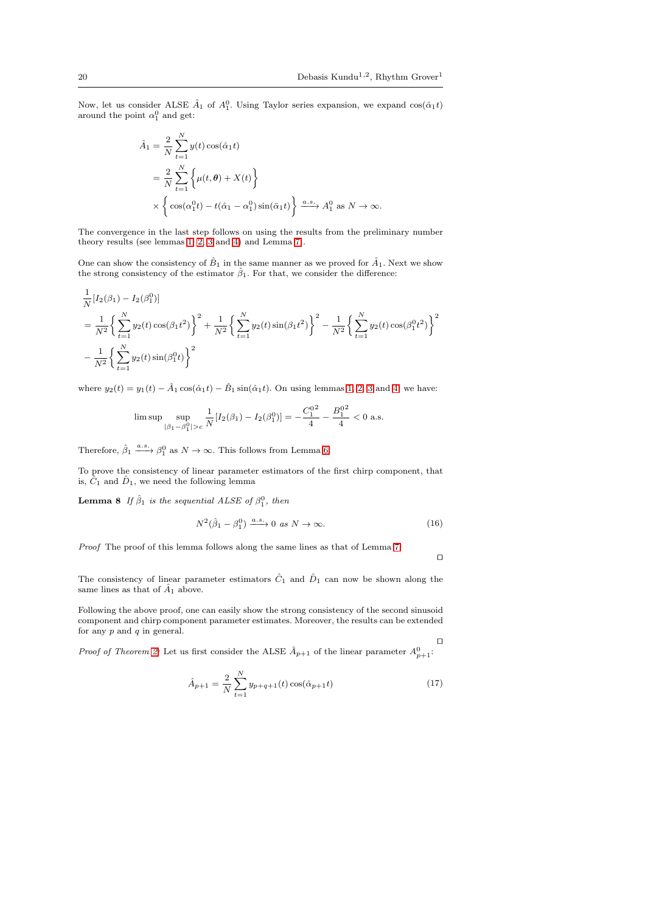Now, let us consider ALSE  $\hat{A}_1$  of  $A_1^0$ . Using Taylor series expansion, we expand  $\cos(\hat{\alpha}_1 t)$ around the point  $\alpha_1^0$  and get:

$$
\hat{A}_1 = \frac{2}{N} \sum_{t=1}^{N} y(t) \cos(\hat{\alpha}_1 t)
$$
  
=  $\frac{2}{N} \sum_{t=1}^{N} \left\{ \mu(t, \theta) + X(t) \right\}$   
 $\times \left\{ \cos(\alpha_1^0 t) - t(\hat{\alpha}_1 - \alpha_1^0) \sin(\bar{\alpha}_1 t) \right\} \xrightarrow{a.s.} A_1^0 \text{ as } N \to \infty.$ 

The convergence in the last step follows on using the results from the preliminary number theory results (see lemmas [1,](#page-16-0) [2,](#page-16-1) [3](#page-16-3) and [4\)](#page-16-4) and Lemma [7](#page-18-2) .

One can show the consistency of  $\hat{B}_1$  in the same manner as we proved for  $\hat{A}_1$ . Next we show the strong consistency of the estimator  $\hat{\beta}_1$ . For that, we consider the difference:

$$
\frac{1}{N}[I_2(\beta_1) - I_2(\beta_1^0)]
$$
\n
$$
= \frac{1}{N^2} \left\{ \sum_{t=1}^N y_2(t) \cos(\beta_1 t^2) \right\}^2 + \frac{1}{N^2} \left\{ \sum_{t=1}^N y_2(t) \sin(\beta_1 t^2) \right\}^2 - \frac{1}{N^2} \left\{ \sum_{t=1}^N y_2(t) \cos(\beta_1^0 t^2) \right\}^2
$$
\n
$$
- \frac{1}{N^2} \left\{ \sum_{t=1}^N y_2(t) \sin(\beta_1^0 t) \right\}^2
$$

where  $y_2(t) = y_1(t) - \hat{A}_1 \cos(\hat{\alpha}_1 t) - \hat{B}_1 \sin(\hat{\alpha}_1 t)$ . On using lemmas [1,](#page-16-0) [2,](#page-16-1) [3](#page-16-3) and [4,](#page-16-4) we have:

$$
\limsup_{|\beta_1 - \beta_1^0| > c} \frac{1}{N} [I_2(\beta_1) - I_2(\beta_1^0)] = -\frac{C_1^{0^2}}{4} - \frac{B_1^{0^2}}{4} < 0 \text{ a.s.}
$$

Therefore,  $\hat{\beta}_1 \xrightarrow{a.s.} \beta_1^0$  as  $N \to \infty$ . This follows from Lemma [6.](#page-17-3)

To prove the consistency of linear parameter estimators of the first chirp component, that is,  $\hat{C}_1$  and  $\hat{D}_1$ , we need the following lemma

**Lemma 8** If  $\hat{\beta}_1$  is the sequential ALSE of  $\beta_1^0$ , then

$$
N^2(\hat{\beta}_1 - \beta_1^0) \xrightarrow{a.s.} 0 \text{ as } N \to \infty.
$$
 (16)

*Proof* The proof of this lemma follows along the same lines as that of Lemma [7.](#page-18-2)

⊓⊔

The consistency of linear parameter estimators  $\hat{C}_1$  and  $\hat{D}_1$  can now be shown along the same lines as that of  $\hat{A}_1$  above.

Following the above proof, one can easily show the strong consistency of the second sinusoid component and chirp component parameter estimates. Moreover, the results can be extended for any  $p$  and  $q$  in general.

⊓⊔ *Proof of Theorem [2:](#page-9-1)* Let us first consider the ALSE  $\hat{A}_{p+1}$  of the linear parameter  $A_{p+1}^0$ :

$$
\hat{A}_{p+1} = \frac{2}{N} \sum_{t=1}^{N} y_{p+q+1}(t) \cos(\hat{\alpha}_{p+1} t)
$$
\n(17)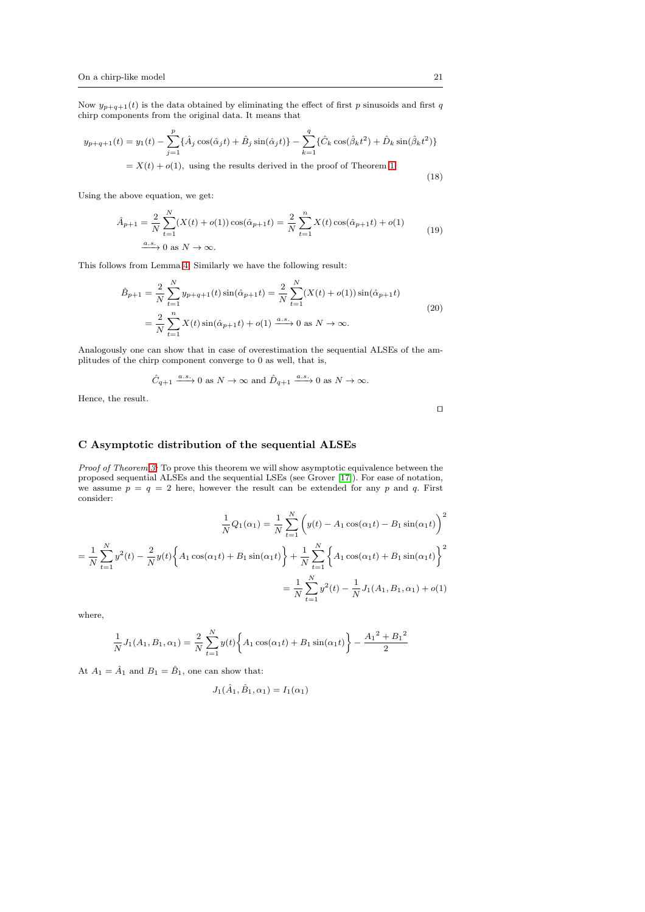Now  $y_{p+q+1}(t)$  is the data obtained by eliminating the effect of first p sinusoids and first q chirp components from the original data. It means that

$$
y_{p+q+1}(t) = y_1(t) - \sum_{j=1}^p \{\hat{A}_j \cos(\hat{\alpha}_j t) + \hat{B}_j \sin(\hat{\alpha}_j t)\} - \sum_{k=1}^q \{\hat{C}_k \cos(\hat{\beta}_k t^2) + \hat{D}_k \sin(\hat{\beta}_k t^2)\}
$$
  
=  $X(t) + o(1)$ , using the results derived in the proof of Theorem 1. (18)

Using the above equation, we get:

$$
\hat{A}_{p+1} = \frac{2}{N} \sum_{t=1}^{N} (X(t) + o(1)) \cos(\hat{\alpha}_{p+1} t) = \frac{2}{N} \sum_{t=1}^{n} X(t) \cos(\hat{\alpha}_{p+1} t) + o(1)
$$
\n
$$
\frac{a.s.}{\sqrt{2}} 0 \text{ as } N \to \infty.
$$
\n(19)

This follows from Lemma [4.](#page-16-4) Similarly we have the following result:

$$
\hat{B}_{p+1} = \frac{2}{N} \sum_{t=1}^{N} y_{p+q+1}(t) \sin(\hat{\alpha}_{p+1}t) = \frac{2}{N} \sum_{t=1}^{N} (X(t) + o(1)) \sin(\hat{\alpha}_{p+1}t)
$$
\n
$$
= \frac{2}{N} \sum_{t=1}^{n} X(t) \sin(\hat{\alpha}_{p+1}t) + o(1) \xrightarrow{a.s.} 0 \text{ as } N \to \infty.
$$
\n(20)

Analogously one can show that in case of overestimation the sequential ALSEs of the amplitudes of the chirp component converge to 0 as well, that is,

$$
\hat{C}_{q+1} \xrightarrow{a.s.} 0
$$
 as  $N \to \infty$  and  $\hat{D}_{q+1} \xrightarrow{a.s.} 0$  as  $N \to \infty$ .

Hence, the result.

⊓⊔

## <span id="page-20-0"></span>C Asymptotic distribution of the sequential ALSEs

*Proof of Theorem [3:](#page-9-0)* To prove this theorem we will show asymptotic equivalence between the proposed sequential ALSEs and the sequential LSEs (see Grover [\[17\]](#page-23-8)). For ease of notation, we assume  $p = q = 2$  here, however the result can be extended for any p and q. First consider:

$$
\frac{1}{N}Q_1(\alpha_1) = \frac{1}{N} \sum_{t=1}^{N} \left( y(t) - A_1 \cos(\alpha_1 t) - B_1 \sin(\alpha_1 t) \right)^2
$$

$$
= \frac{1}{N} \sum_{t=1}^{N} y^2(t) - \frac{2}{N} y(t) \left\{ A_1 \cos(\alpha_1 t) + B_1 \sin(\alpha_1 t) \right\} + \frac{1}{N} \sum_{t=1}^{N} \left\{ A_1 \cos(\alpha_1 t) + B_1 \sin(\alpha_1 t) \right\}^2
$$

$$
= \frac{1}{N} \sum_{t=1}^{N} y^2(t) - \frac{1}{N} J_1(A_1, B_1, \alpha_1) + o(1)
$$

where,

$$
\frac{1}{N}J_1(A_1, B_1, \alpha_1) = \frac{2}{N} \sum_{t=1}^{N} y(t) \left\{ A_1 \cos(\alpha_1 t) + B_1 \sin(\alpha_1 t) \right\} - \frac{A_1^2 + B_1^2}{2}
$$

At  $A_1 = \hat{A}_1$  and  $B_1 = \hat{B}_1$ , one can show that:

$$
J_1(\hat{A}_1, \hat{B}_1, \alpha_1) = I_1(\alpha_1)
$$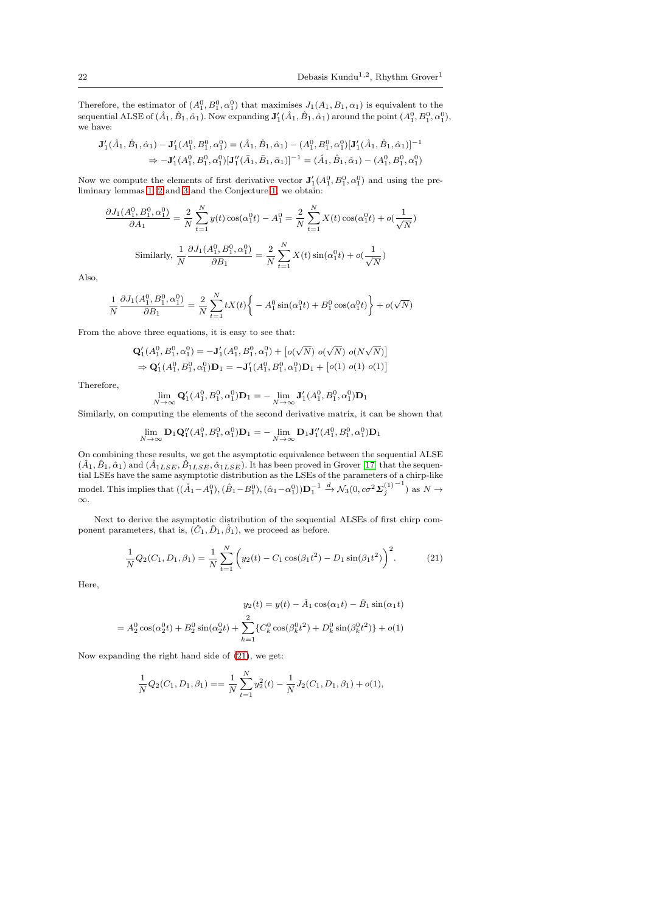Therefore, the estimator of  $(A_1^0, B_1^0, \alpha_1^0)$  that maximises  $J_1(A_1, B_1, \alpha_1)$  is equivalent to the sequential ALSE of  $(\hat{A}_1, \hat{B}_1, \hat{\alpha}_1)$ . Now expanding  $\mathbf{J}'_1(\hat{A}_1, \hat{B}_1, \hat{\alpha}_1)$  around the point  $(A_1^0, B_1^0, \alpha_1^0)$ , we have:

$$
\mathbf{J}'_1(\hat{A}_1, \hat{B}_1, \hat{\alpha}_1) - \mathbf{J}'_1(A_1^0, B_1^0, \alpha_1^0) = (\hat{A}_1, \hat{B}_1, \hat{\alpha}_1) - (A_1^0, B_1^0, \alpha_1^0) [\mathbf{J}'_1(\hat{A}_1, \hat{B}_1, \hat{\alpha}_1)]^{-1}
$$
  
\n
$$
\Rightarrow -\mathbf{J}'_1(A_1^0, B_1^0, \alpha_1^0) [\mathbf{J}''_1(\bar{A}_1, \bar{B}_1, \bar{\alpha}_1)]^{-1} = (\hat{A}_1, \hat{B}_1, \hat{\alpha}_1) - (A_1^0, B_1^0, \alpha_1^0)
$$

Now we compute the elements of first derivative vector  $J'_{1}(A_1^0, B_1^0, \alpha_1^0)$  and using the preliminary lemmas [1,](#page-16-0) [2](#page-16-1) and [3](#page-16-3) and the Conjecture [1,](#page-17-1) we obtain:

$$
\frac{\partial J_1(A_1^0, B_1^0, \alpha_1^0)}{\partial A_1} = \frac{2}{N} \sum_{t=1}^N y(t) \cos(\alpha_1^0 t) - A_1^0 = \frac{2}{N} \sum_{t=1}^N X(t) \cos(\alpha_1^0 t) + o(\frac{1}{\sqrt{N}})
$$
  
Similarly, 
$$
\frac{1}{N} \frac{\partial J_1(A_1^0, B_1^0, \alpha_1^0)}{\partial B_1} = \frac{2}{N} \sum_{t=1}^N X(t) \sin(\alpha_1^0 t) + o(\frac{1}{\sqrt{N}})
$$

Also,

$$
\frac{1}{N}\frac{\partial J_1(A_1^0,B_1^0,\alpha_1^0)}{\partial B_1} = \frac{2}{N}\sum_{t=1}^NtX(t)\bigg\{-A_1^0\sin(\alpha_1^0 t)+B_1^0\cos(\alpha_1^0 t)\bigg\} + o(\sqrt{N})
$$

From the above three equations, it is easy to see that:

$$
\begin{aligned} &\mathbf{Q}_1'(A_1^0,B_1^0,\alpha_1^0)=-\mathbf{J}_1'(A_1^0,B_1^0,\alpha_1^0)+\left[o(\sqrt{N})\ o(\sqrt{N})\ o(N\sqrt{N})\right]\\ &\Rightarrow \mathbf{Q}_1'(A_1^0,B_1^0,\alpha_1^0)\mathbf{D}_1=-\mathbf{J}_1'(A_1^0,B_1^0,\alpha_1^0)\mathbf{D}_1+\left[o(1)\ o(1)\ o(1)\right] \end{aligned}
$$

Therefore,

$$
\lim_{N \to \infty} \mathbf{Q}'_1(A_1^0, B_1^0, \alpha_1^0) \mathbf{D}_1 = -\lim_{N \to \infty} \mathbf{J}'_1(A_1^0, B_1^0, \alpha_1^0) \mathbf{D}_1
$$

Similarly, on computing the elements of the second derivative matrix, it can be shown that

$$
\lim_{N \to \infty} \mathbf{D}_1 \mathbf{Q}_1'' (A_1^0, B_1^0, \alpha_1^0) \mathbf{D}_1 = -\lim_{N \to \infty} \mathbf{D}_1 \mathbf{J}_1'' (A_1^0, B_1^0, \alpha_1^0) \mathbf{D}_1
$$

On combining these results, we get the asymptotic equivalence between the sequential ALSE  $(\hat{A}_1, \hat{B}_1, \hat{\alpha}_1)$  and  $(\hat{A}_{1LSE}, \hat{B}_{1LSE}, \hat{\alpha}_{1LSE})$ . It has been proved in Grover [\[17\]](#page-23-8) that the sequential LSEs have the same asymptotic distribution as the LSEs of the parameters of a chirp-like model. This implies that  $((\hat{A}_1 - A_1^0), (\hat{B}_1 - B_1^0), (\hat{\alpha}_1 - \alpha_1^0))$   $\mathbf{D}_1^{-1} \stackrel{d}{\rightarrow} \mathcal{N}_3(0, c\sigma^2 \mathbf{\Sigma}_{j}^{(1)^{-1}})$  as  $N \rightarrow$ ∞.

Next to derive the asymptotic distribution of the sequential ALSEs of first chirp component parameters, that is,  $(\hat{C}_1, \hat{D}_1, \hat{\beta}_1)$ , we proceed as before.

<span id="page-21-0"></span>
$$
\frac{1}{N}Q_2(C_1, D_1, \beta_1) = \frac{1}{N} \sum_{t=1}^{N} \left( y_2(t) - C_1 \cos(\beta_1 t^2) - D_1 \sin(\beta_1 t^2) \right)^2.
$$
(21)

Here,

$$
y_2(t) = y(t) - \hat{A}_1 \cos(\alpha_1 t) - \hat{B}_1 \sin(\alpha_1 t)
$$

$$
= A_2^0 \cos(\alpha_2^0 t) + B_2^0 \sin(\alpha_2^0 t) + \sum_{k=1}^2 \{ C_k^0 \cos(\beta_k^0 t^2) + D_k^0 \sin(\beta_k^0 t^2) \} + o(1)
$$

Now expanding the right hand side of [\(21\)](#page-21-0), we get:

$$
\frac{1}{N}Q_2(C_1, D_1, \beta_1) = \frac{1}{N} \sum_{t=1}^{N} y_2^2(t) - \frac{1}{N} J_2(C_1, D_1, \beta_1) + o(1),
$$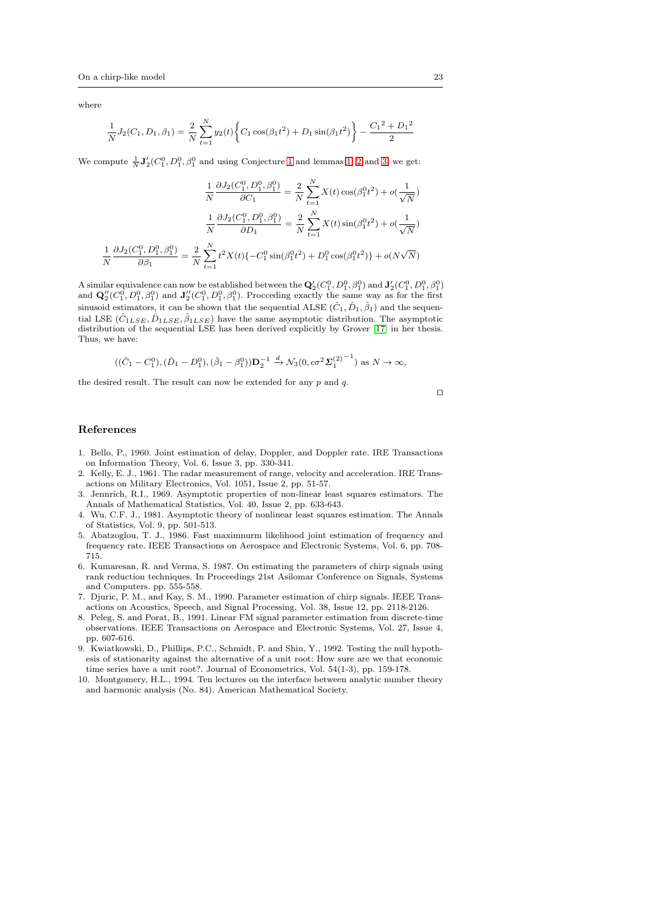where

$$
\frac{1}{N}J_2(C_1, D_1, \beta_1) = \frac{2}{N} \sum_{t=1}^{N} y_2(t) \left\{ C_1 \cos(\beta_1 t^2) + D_1 \sin(\beta_1 t^2) \right\} - \frac{C_1^2 + D_1^2}{2}
$$

We compute  $\frac{1}{N}$ **J**<sup>'</sup><sub>2</sub>( $C_1^0$ ,  $D_1^0$ ,  $\beta_1^0$  and using Conjecture [1](#page-17-1) and lemmas [1,](#page-16-0) [2](#page-16-1) and [3,](#page-16-3) we get:

$$
\frac{1}{N} \frac{\partial J_2(C_1^0, D_1^0, \beta_1^0)}{\partial C_1} = \frac{2}{N} \sum_{t=1}^N X(t) \cos(\beta_1^0 t^2) + o(\frac{1}{\sqrt{N}})
$$

$$
\frac{1}{N} \frac{\partial J_2(C_1^0, D_1^0, \beta_1^0)}{\partial D_1} = \frac{2}{N} \sum_{t=1}^N X(t) \sin(\beta_1^0 t^2) + o(\frac{1}{\sqrt{N}})
$$

$$
\frac{1}{N} \frac{\partial J_2(C_1^0, D_1^0, \beta_1^0)}{\partial \beta_1} = \frac{2}{N} \sum_{t=1}^N t^2 X(t) \{-C_1^0 \sin(\beta_1^0 t^2) + D_1^0 \cos(\beta_1^0 t^2) \} + o(N\sqrt{N})
$$

A similar equivalence can now be established between the  $\mathbf{Q}'_2(C_1^0, D_1^0, \beta_1^0)$  and  $\mathbf{J}'_2(C_1^0, D_1^0, \beta_1^0)$ and  $\mathbf{Q}_2''(C_1^0, D_1^0, \beta_1^0)$  and  $\mathbf{J}_2''(C_1^0, D_1^0, \beta_1^0)$ . Procceding exactly the same way as for the first sinusoid estimators, it can be shown that the sequential ALSE  $(\hat{C}_1, \hat{D}_1, \hat{\beta}_1)$  and the sequential LSE  $(\hat{C}_{1LSE}, \hat{D}_{1LSE}, \hat{\beta}_{1LSE})$  have the same asymptotic distribution. The asymptotic distribution of the sequential LSE has been derived explicitly by Grover [\[17\]](#page-23-8) in her thesis. Thus, we have:

$$
((\hat{C}_1 - C_1^0), (\hat{D}_1 - D_1^0), (\hat{\beta}_1 - \beta_1^0))\mathbf{D}_2^{-1} \xrightarrow{d} \mathcal{N}_3(0, c\sigma^2 \Sigma_1^{(2)^{-1}})
$$
 as  $N \to \infty$ ,

the desired result. The result can now be extended for any  $p$  and  $q$ .

⊓⊔

#### References

- <span id="page-22-2"></span>1. Bello, P., 1960. Joint estimation of delay, Doppler, and Doppler rate. IRE Transactions on Information Theory, Vol. 6, Issue 3, pp. 330-341.
- <span id="page-22-3"></span>2. Kelly, E. J., 1961. The radar measurement of range, velocity and acceleration. IRE Transactions on Military Electronics, Vol. 1051, Issue 2, pp. 51-57.
- <span id="page-22-0"></span>3. Jennrich, R.I., 1969. Asymptotic properties of non-linear least squares estimators. The Annals of Mathematical Statistics, Vol. 40, Issue 2, pp. 633-643.
- <span id="page-22-1"></span>4. Wu, C.F. J., 1981. Asymptotic theory of nonlinear least squares estimation. The Annals of Statistics, Vol. 9, pp. 501-513.
- <span id="page-22-4"></span>5. Abatzoglou, T. J., 1986. Fast maximnurm likelihood joint estimation of frequency and frequency rate. IEEE Transactions on Aerospace and Electronic Systems, Vol. 6, pp. 708- 715.
- <span id="page-22-5"></span>6. Kumaresan, R. and Verma, S. 1987. On estimating the parameters of chirp signals using rank reduction techniques. In Proceedings 21st Asilomar Conference on Signals, Systems and Computers. pp. 555-558.
- <span id="page-22-6"></span>7. Djuric, P. M., and Kay, S. M., 1990. Parameter estimation of chirp signals. IEEE Transactions on Acoustics, Speech, and Signal Processing, Vol. 38, Issue 12, pp. 2118-2126.
- <span id="page-22-7"></span>8. Peleg, S. and Porat, B., 1991. Linear FM signal parameter estimation from discrete-time observations. IEEE Transactions on Aerospace and Electronic Systems, Vol. 27, Issue 4, pp. 607-616.
- <span id="page-22-8"></span>9. Kwiatkowski, D., Phillips, P.C., Schmidt, P. and Shin, Y., 1992. Testing the null hypothesis of stationarity against the alternative of a unit root: How sure are we that economic time series have a unit root?. Journal of Econometrics, Vol. 54(1-3), pp. 159-178.
- <span id="page-22-9"></span>10. Montgomery, H.L., 1994. Ten lectures on the interface between analytic number theory and harmonic analysis (No. 84). American Mathematical Society.